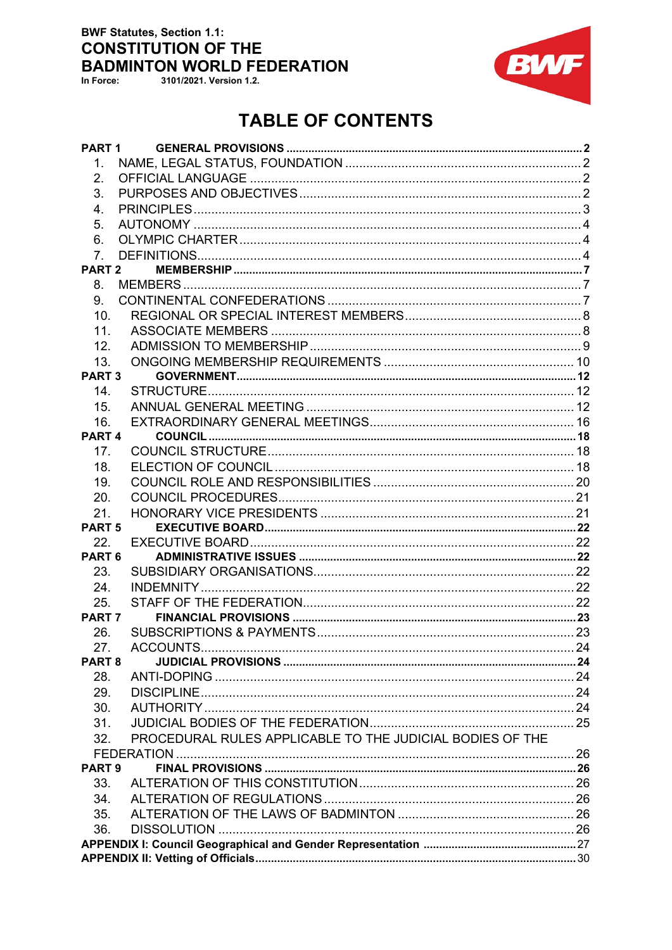## **BWF Statutes, Section 1.1: CONSTITUTION OF THE BADMINTON WORLD FEDERATION**

In Force:

3101/2021. Version 1.2.



# **TABLE OF CONTENTS**

| PART 1            |                                                           |  |  |
|-------------------|-----------------------------------------------------------|--|--|
| $\mathbf{1}$ .    |                                                           |  |  |
| 2.                |                                                           |  |  |
| 3.                |                                                           |  |  |
| 4.                |                                                           |  |  |
| 5.                |                                                           |  |  |
| 6.                |                                                           |  |  |
| 7 <sub>1</sub>    |                                                           |  |  |
| PART <sub>2</sub> |                                                           |  |  |
| 8.                |                                                           |  |  |
| 9.                |                                                           |  |  |
| 10.               |                                                           |  |  |
| 11.               |                                                           |  |  |
| 12.               |                                                           |  |  |
| 13.               |                                                           |  |  |
| PART <sub>3</sub> |                                                           |  |  |
| 14.               |                                                           |  |  |
| 15.               |                                                           |  |  |
| 16.               |                                                           |  |  |
| PART <sub>4</sub> |                                                           |  |  |
| 17.               |                                                           |  |  |
|                   |                                                           |  |  |
| 18.               |                                                           |  |  |
| 19.               |                                                           |  |  |
| 20.               |                                                           |  |  |
| 21.               |                                                           |  |  |
| <b>PART 5</b>     |                                                           |  |  |
| 22.               |                                                           |  |  |
| PART <sub>6</sub> |                                                           |  |  |
| 23.               |                                                           |  |  |
| 24.               |                                                           |  |  |
| 25.               |                                                           |  |  |
| PART <sub>7</sub> |                                                           |  |  |
| 26.               |                                                           |  |  |
| 27.               |                                                           |  |  |
| PART <sub>8</sub> |                                                           |  |  |
| 28.               |                                                           |  |  |
| 29.               |                                                           |  |  |
| 30.               |                                                           |  |  |
| 31.               |                                                           |  |  |
| 32.               | PROCEDURAL RULES APPLICABLE TO THE JUDICIAL BODIES OF THE |  |  |
|                   |                                                           |  |  |
| PART <sub>9</sub> |                                                           |  |  |
| 33.               |                                                           |  |  |
| 34.               |                                                           |  |  |
| 35.               |                                                           |  |  |
| 36.               |                                                           |  |  |
|                   |                                                           |  |  |
|                   |                                                           |  |  |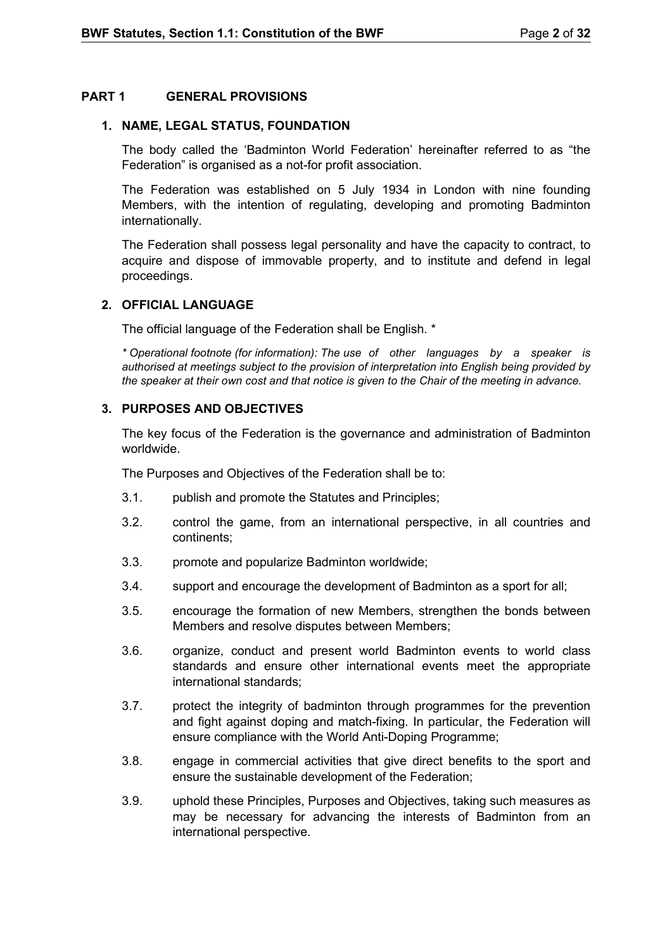## **PART 1 GENERAL PROVISIONS**

#### <span id="page-1-1"></span>**1. NAME, LEGAL STATUS, FOUNDATION**

<span id="page-1-0"></span>The body called the 'Badminton World Federation' hereinafter referred to as "the Federation" is organised as a not-for profit association.

The Federation was established on 5 July 1934 in London with nine founding Members, with the intention of regulating, developing and promoting Badminton internationally.

The Federation shall possess legal personality and have the capacity to contract, to acquire and dispose of immovable property, and to institute and defend in legal proceedings.

## <span id="page-1-2"></span>**2. OFFICIAL LANGUAGE**

The official language of the Federation shall be English. \*

*\* Operational footnote (for information): The use of other languages by a speaker is authorised at meetings subject to the provision of interpretation into English being provided by the speaker at their own cost and that notice is given to the Chair of the meeting in advance.*

#### <span id="page-1-3"></span>**3. PURPOSES AND OBJECTIVES**

The key focus of the Federation is the governance and administration of Badminton worldwide.

The Purposes and Objectives of the Federation shall be to:

- 3.1. publish and promote the Statutes and Principles;
- 3.2. control the game, from an international perspective, in all countries and continents;
- 3.3. promote and popularize Badminton worldwide;
- 3.4. support and encourage the development of Badminton as a sport for all;
- 3.5. encourage the formation of new Members, strengthen the bonds between Members and resolve disputes between Members;
- 3.6. organize, conduct and present world Badminton events to world class standards and ensure other international events meet the appropriate international standards;
- 3.7. protect the integrity of badminton through programmes for the prevention and fight against doping and match-fixing. In particular, the Federation will ensure compliance with the World Anti-Doping Programme;
- 3.8. engage in commercial activities that give direct benefits to the sport and ensure the sustainable development of the Federation;
- 3.9. uphold these Principles, Purposes and Objectives, taking such measures as may be necessary for advancing the interests of Badminton from an international perspective.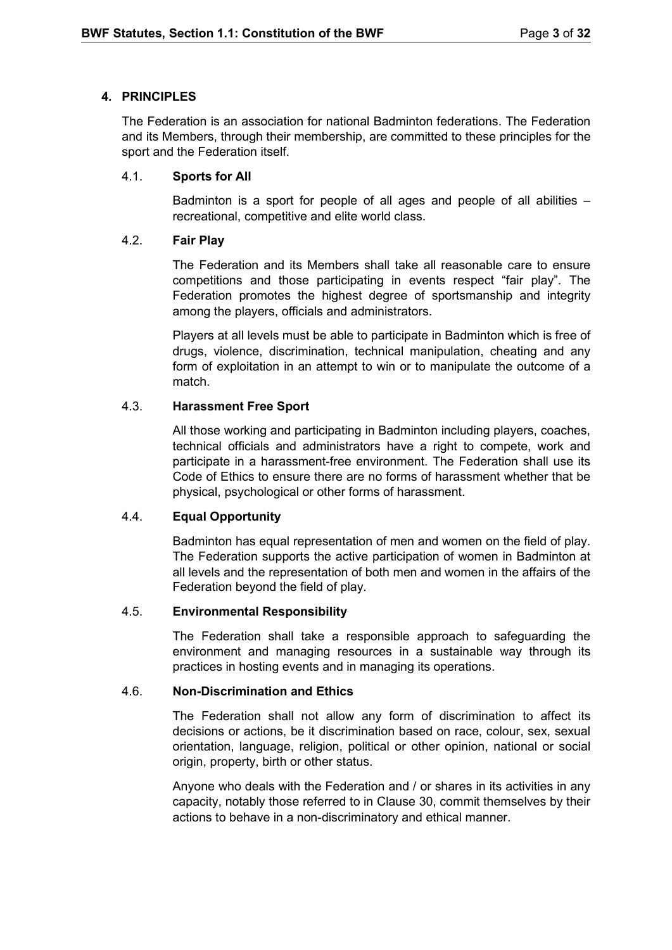## <span id="page-2-0"></span>**4. PRINCIPLES**

The Federation is an association for national Badminton federations. The Federation and its Members, through their membership, are committed to these principles for the sport and the Federation itself.

## 4.1. **Sports for All**

Badminton is a sport for people of all ages and people of all abilities – recreational, competitive and elite world class.

## 4.2. **Fair Play**

The Federation and its Members shall take all reasonable care to ensure competitions and those participating in events respect "fair play". The Federation promotes the highest degree of sportsmanship and integrity among the players, officials and administrators.

Players at all levels must be able to participate in Badminton which is free of drugs, violence, discrimination, technical manipulation, cheating and any form of exploitation in an attempt to win or to manipulate the outcome of a match.

## 4.3. **Harassment Free Sport**

All those working and participating in Badminton including players, coaches, technical officials and administrators have a right to compete, work and participate in a harassment-free environment. The Federation shall use its Code of Ethics to ensure there are no forms of harassment whether that be physical, psychological or other forms of harassment.

## 4.4. **Equal Opportunity**

Badminton has equal representation of men and women on the field of play. The Federation supports the active participation of women in Badminton at all levels and the representation of both men and women in the affairs of the Federation beyond the field of play.

## 4.5. **Environmental Responsibility**

The Federation shall take a responsible approach to safeguarding the environment and managing resources in a sustainable way through its practices in hosting events and in managing its operations.

## 4.6. **Non-Discrimination and Ethics**

The Federation shall not allow any form of discrimination to affect its decisions or actions, be it discrimination based on race, colour, sex, sexual orientation, language, religion, political or other opinion, national or social origin, property, birth or other status.

Anyone who deals with the Federation and / or shares in its activities in any capacity, notably those referred to in Clause 30, commit themselves by their actions to behave in a non-discriminatory and ethical manner.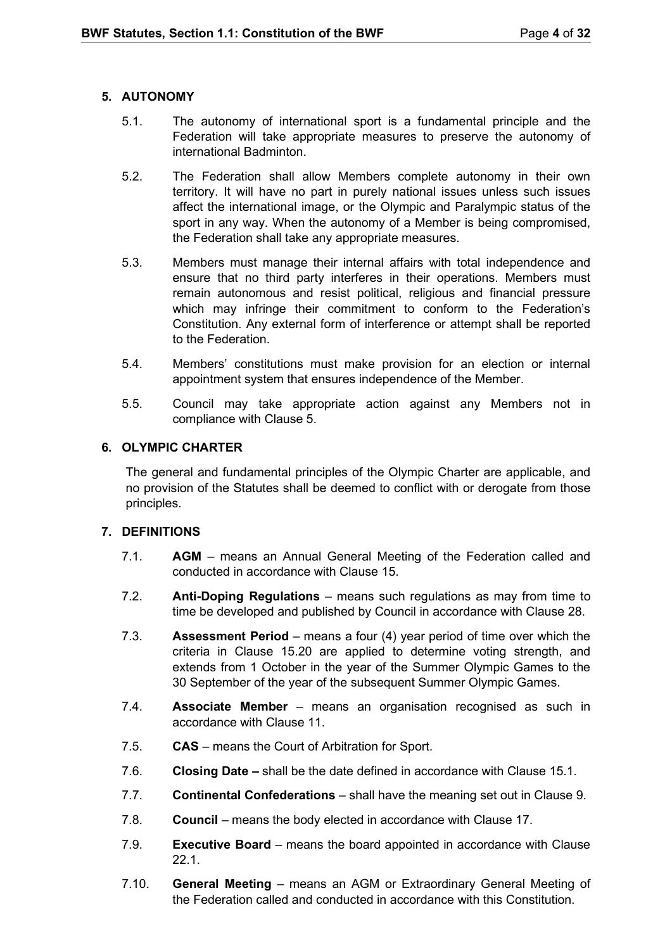## <span id="page-3-0"></span>**5. AUTONOMY**

- 5.1. The autonomy of international sport is a fundamental principle and the Federation will take appropriate measures to preserve the autonomy of international Badminton.
- 5.2. The Federation shall allow Members complete autonomy in their own territory. It will have no part in purely national issues unless such issues affect the international image, or the Olympic and Paralympic status of the sport in any way. When the autonomy of a Member is being compromised, the Federation shall take any appropriate measures.
- 5.3. Members must manage their internal affairs with total independence and ensure that no third party interferes in their operations. Members must remain autonomous and resist political, religious and financial pressure which may infringe their commitment to conform to the Federation's Constitution. Any external form of interference or attempt shall be reported to the Federation.
- 5.4. Members' constitutions must make provision for an election or internal appointment system that ensures independence of the Member.
- 5.5. Council may take appropriate action against any Members not in compliance with Clause 5.

## <span id="page-3-1"></span>**6. OLYMPIC CHARTER**

The general and fundamental principles of the Olympic Charter are applicable, and no provision of the Statutes shall be deemed to conflict with or derogate from those principles.

## <span id="page-3-2"></span>**7. DEFINITIONS**

- 7.1. **AGM** means an Annual General Meeting of the Federation called and conducted in accordance with Clause 15.
- 7.2. **Anti-Doping Regulations** means such regulations as may from time to time be developed and published by Council in accordance with Clause 28.
- 7.3. **Assessment Period** means a four (4) year period of time over which the criteria in Clause 15.20 are applied to determine voting strength, and extends from 1 October in the year of the Summer Olympic Games to the 30 September of the year of the subsequent Summer Olympic Games.
- 7.4. **Associate Member** means an organisation recognised as such in accordance with Clause 11.
- 7.5. **CAS** means the Court of Arbitration for Sport.
- 7.6. **Closing Date –** shall be the date defined in accordance with Clause 15.1.
- 7.7. **Continental Confederations** shall have the meaning set out in Clause 9.
- 7.8. **Council** means the body elected in accordance with Clause 17.
- 7.9. **Executive Board** means the board appointed in accordance with Clause 22.1.
- 7.10. **General Meeting** means an AGM or Extraordinary General Meeting of the Federation called and conducted in accordance with this Constitution.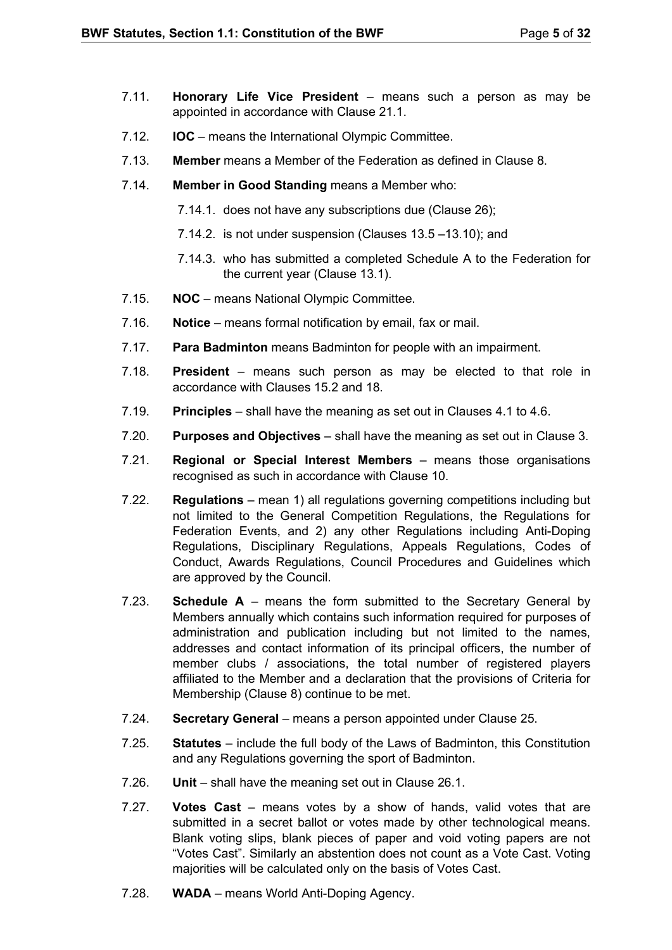- 7.11. **Honorary Life Vice President** means such a person as may be appointed in accordance with Clause 21.1.
- 7.12. **IOC** means the International Olympic Committee.
- 7.13. **Member** means a Member of the Federation as defined in Clause 8.
- 7.14. **Member in Good Standing** means a Member who:
	- 7.14.1. does not have any subscriptions due (Clause 26);
	- 7.14.2. is not under suspension (Clauses 13.5 –13.10); and
	- 7.14.3. who has submitted a completed Schedule A to the Federation for the current year (Clause 13.1).
- 7.15. **NOC**  means National Olympic Committee.
- 7.16. **Notice** means formal notification by email, fax or mail.
- 7.17. **Para Badminton** means Badminton for people with an impairment.
- 7.18. **President** means such person as may be elected to that role in accordance with Clauses 15.2 and 18.
- 7.19. **Principles**  shall have the meaning as set out in Clauses 4.1 to 4.6.
- 7.20. **Purposes and Objectives** shall have the meaning as set out in Clause 3.
- 7.21. **Regional or Special Interest Members** means those organisations recognised as such in accordance with Clause 10.
- 7.22. **Regulations** mean 1) all regulations governing competitions including but not limited to the General Competition Regulations, the Regulations for Federation Events, and 2) any other Regulations including Anti-Doping Regulations, Disciplinary Regulations, Appeals Regulations, Codes of Conduct, Awards Regulations, Council Procedures and Guidelines which are approved by the Council.
- 7.23. **Schedule A**  means the form submitted to the Secretary General by Members annually which contains such information required for purposes of administration and publication including but not limited to the names, addresses and contact information of its principal officers, the number of member clubs / associations, the total number of registered players affiliated to the Member and a declaration that the provisions of Criteria for Membership (Clause 8) continue to be met.
- 7.24. **Secretary General**  means a person appointed under Clause 25.
- 7.25. **Statutes** include the full body of the Laws of Badminton, this Constitution and any Regulations governing the sport of Badminton.
- 7.26. **Unit**  shall have the meaning set out in Clause 26.1.
- 7.27. **Votes Cast** means votes by a show of hands, valid votes that are submitted in a secret ballot or votes made by other technological means. Blank voting slips, blank pieces of paper and void voting papers are not "Votes Cast". Similarly an abstention does not count as a Vote Cast. Voting majorities will be calculated only on the basis of Votes Cast.
- 7.28. **WADA**  means World Anti-Doping Agency.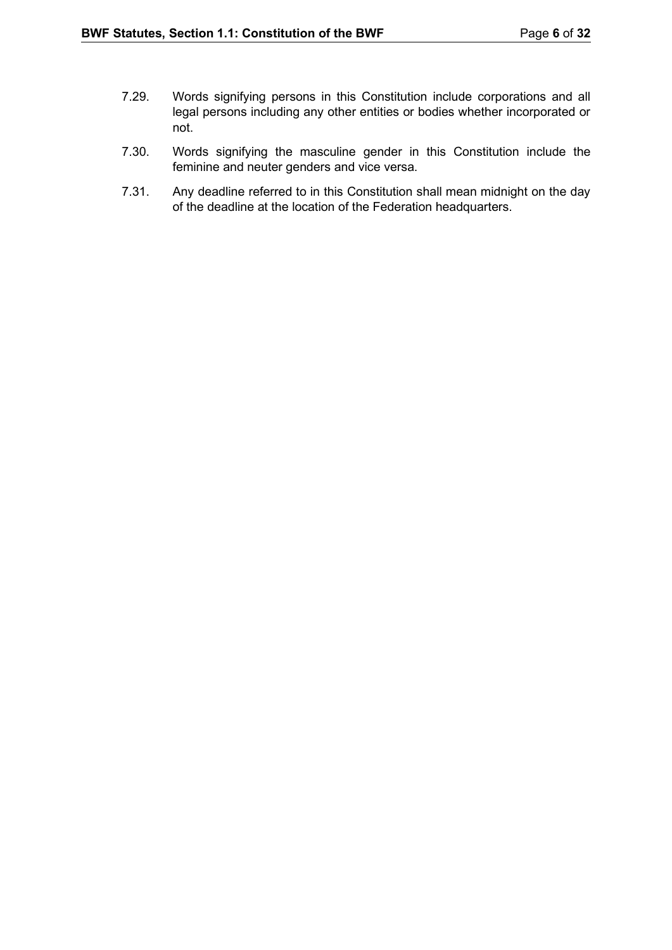- 7.29. Words signifying persons in this Constitution include corporations and all legal persons including any other entities or bodies whether incorporated or not.
- 7.30. Words signifying the masculine gender in this Constitution include the feminine and neuter genders and vice versa.
- 7.31. Any deadline referred to in this Constitution shall mean midnight on the day of the deadline at the location of the Federation headquarters.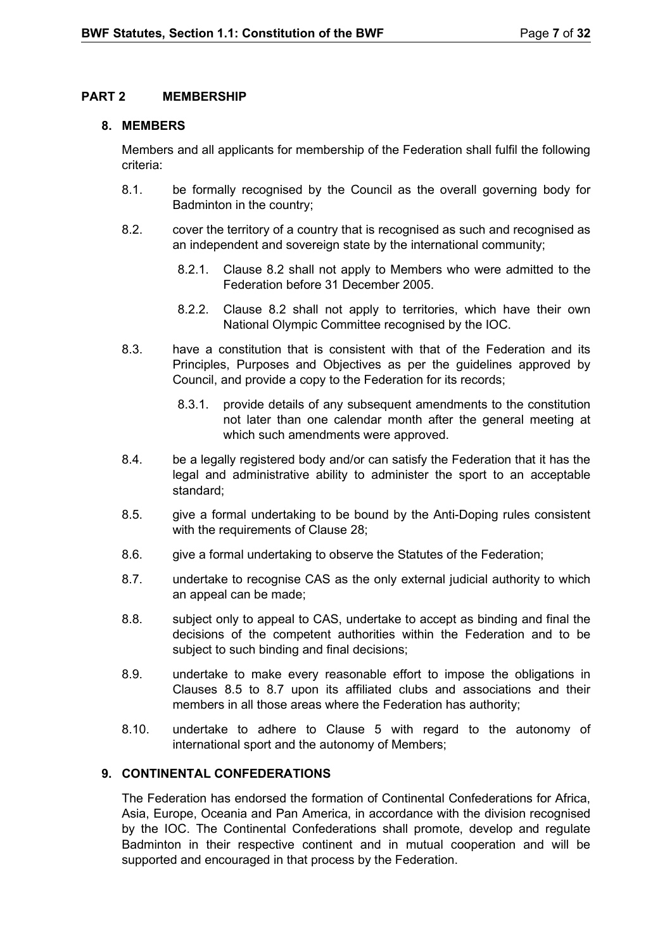## <span id="page-6-0"></span>**PART 2 MEMBERSHIP**

## <span id="page-6-1"></span>**8. MEMBERS**

Members and all applicants for membership of the Federation shall fulfil the following criteria:

- 8.1. be formally recognised by the Council as the overall governing body for Badminton in the country;
- 8.2. cover the territory of a country that is recognised as such and recognised as an independent and sovereign state by the international community;
	- 8.2.1. Clause 8.2 shall not apply to Members who were admitted to the Federation before 31 December 2005.
	- 8.2.2. Clause 8.2 shall not apply to territories, which have their own National Olympic Committee recognised by the IOC.
- 8.3. have a constitution that is consistent with that of the Federation and its Principles, Purposes and Objectives as per the guidelines approved by Council, and provide a copy to the Federation for its records;
	- 8.3.1. provide details of any subsequent amendments to the constitution not later than one calendar month after the general meeting at which such amendments were approved.
- 8.4. be a legally registered body and/or can satisfy the Federation that it has the legal and administrative ability to administer the sport to an acceptable standard;
- 8.5. give a formal undertaking to be bound by the Anti-Doping rules consistent with the requirements of Clause 28;
- 8.6. give a formal undertaking to observe the Statutes of the Federation;
- 8.7. undertake to recognise CAS as the only external judicial authority to which an appeal can be made;
- 8.8. subject only to appeal to CAS, undertake to accept as binding and final the decisions of the competent authorities within the Federation and to be subject to such binding and final decisions;
- 8.9. undertake to make every reasonable effort to impose the obligations in Clauses 8.5 to 8.7 upon its affiliated clubs and associations and their members in all those areas where the Federation has authority;
- 8.10. undertake to adhere to Clause 5 with regard to the autonomy of international sport and the autonomy of Members;

## <span id="page-6-2"></span>**9. CONTINENTAL CONFEDERATIONS**

The Federation has endorsed the formation of Continental Confederations for Africa, Asia, Europe, Oceania and Pan America, in accordance with the division recognised by the IOC. The Continental Confederations shall promote, develop and regulate Badminton in their respective continent and in mutual cooperation and will be supported and encouraged in that process by the Federation.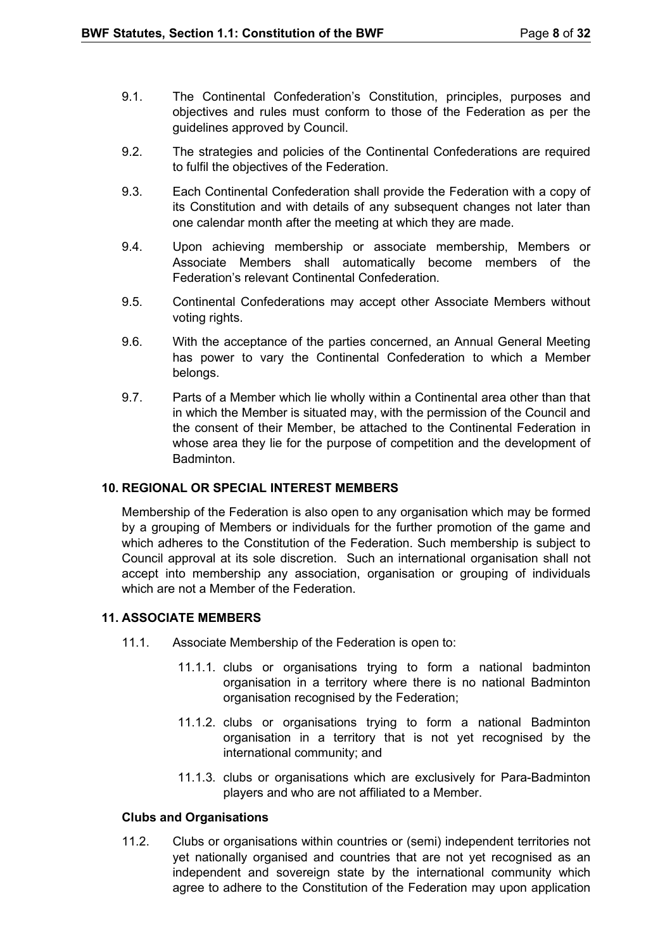- 9.1. The Continental Confederation's Constitution, principles, purposes and objectives and rules must conform to those of the Federation as per the guidelines approved by Council.
- 9.2. The strategies and policies of the Continental Confederations are required to fulfil the objectives of the Federation.
- 9.3. Each Continental Confederation shall provide the Federation with a copy of its Constitution and with details of any subsequent changes not later than one calendar month after the meeting at which they are made.
- 9.4. Upon achieving membership or associate membership, Members or Associate Members shall automatically become members of the Federation's relevant Continental Confederation.
- 9.5. Continental Confederations may accept other Associate Members without voting rights.
- 9.6. With the acceptance of the parties concerned, an Annual General Meeting has power to vary the Continental Confederation to which a Member belongs.
- 9.7. Parts of a Member which lie wholly within a Continental area other than that in which the Member is situated may, with the permission of the Council and the consent of their Member, be attached to the Continental Federation in whose area they lie for the purpose of competition and the development of Badminton.

## <span id="page-7-0"></span>**10. REGIONAL OR SPECIAL INTEREST MEMBERS**

Membership of the Federation is also open to any organisation which may be formed by a grouping of Members or individuals for the further promotion of the game and which adheres to the Constitution of the Federation. Such membership is subject to Council approval at its sole discretion. Such an international organisation shall not accept into membership any association, organisation or grouping of individuals which are not a Member of the Federation

## <span id="page-7-1"></span>**11. ASSOCIATE MEMBERS**

- 11.1. Associate Membership of the Federation is open to:
	- 11.1.1. clubs or organisations trying to form a national badminton organisation in a territory where there is no national Badminton organisation recognised by the Federation;
	- 11.1.2. clubs or organisations trying to form a national Badminton organisation in a territory that is not yet recognised by the international community; and
	- 11.1.3. clubs or organisations which are exclusively for Para-Badminton players and who are not affiliated to a Member.

## **Clubs and Organisations**

11.2. Clubs or organisations within countries or (semi) independent territories not yet nationally organised and countries that are not yet recognised as an independent and sovereign state by the international community which agree to adhere to the Constitution of the Federation may upon application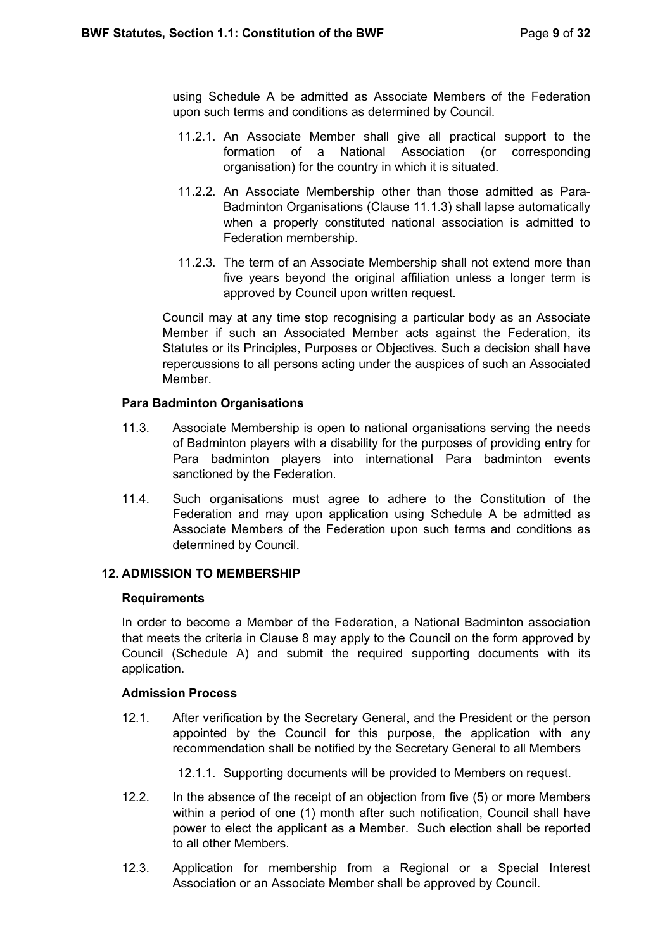using Schedule A be admitted as Associate Members of the Federation upon such terms and conditions as determined by Council.

- 11.2.1. An Associate Member shall give all practical support to the formation of a National Association (or corresponding organisation) for the country in which it is situated.
- 11.2.2. An Associate Membership other than those admitted as Para-Badminton Organisations (Clause 11.1.3) shall lapse automatically when a properly constituted national association is admitted to Federation membership.
- 11.2.3. The term of an Associate Membership shall not extend more than five years beyond the original affiliation unless a longer term is approved by Council upon written request.

Council may at any time stop recognising a particular body as an Associate Member if such an Associated Member acts against the Federation, its Statutes or its Principles, Purposes or Objectives. Such a decision shall have repercussions to all persons acting under the auspices of such an Associated **Member** 

## **Para Badminton Organisations**

- 11.3. Associate Membership is open to national organisations serving the needs of Badminton players with a disability for the purposes of providing entry for Para badminton players into international Para badminton events sanctioned by the Federation.
- 11.4. Such organisations must agree to adhere to the Constitution of the Federation and may upon application using Schedule A be admitted as Associate Members of the Federation upon such terms and conditions as determined by Council.

#### <span id="page-8-0"></span>**12. ADMISSION TO MEMBERSHIP**

#### **Requirements**

In order to become a Member of the Federation, a National Badminton association that meets the criteria in Clause 8 may apply to the Council on the form approved by Council (Schedule A) and submit the required supporting documents with its application.

#### **Admission Process**

12.1. After verification by the Secretary General, and the President or the person appointed by the Council for this purpose, the application with any recommendation shall be notified by the Secretary General to all Members

12.1.1. Supporting documents will be provided to Members on request.

- 12.2. In the absence of the receipt of an objection from five (5) or more Members within a period of one (1) month after such notification, Council shall have power to elect the applicant as a Member. Such election shall be reported to all other Members.
- 12.3. Application for membership from a Regional or a Special Interest Association or an Associate Member shall be approved by Council.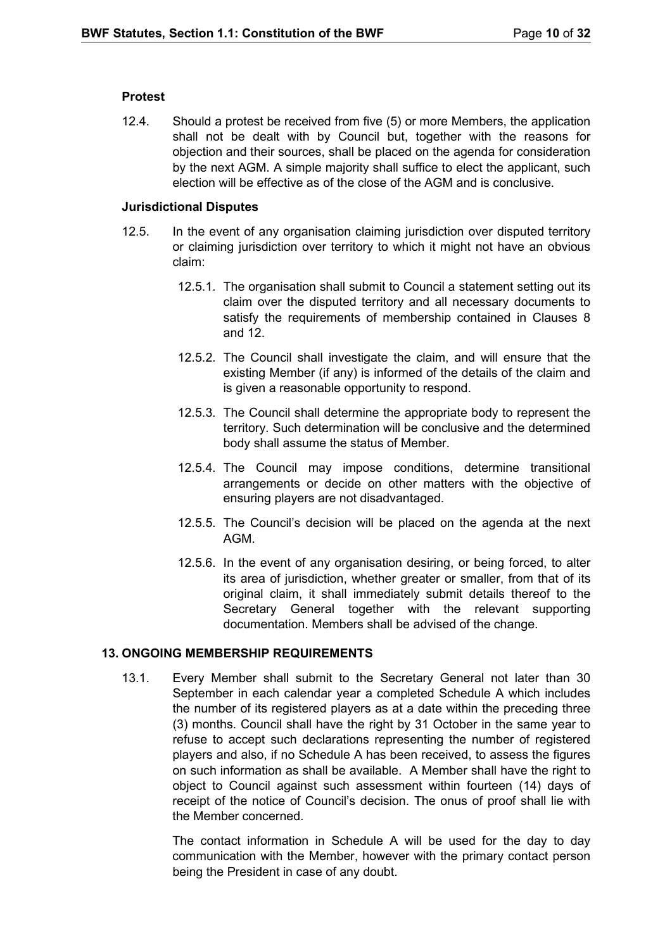## **Protest**

12.4. Should a protest be received from five (5) or more Members, the application shall not be dealt with by Council but, together with the reasons for objection and their sources, shall be placed on the agenda for consideration by the next AGM. A simple majority shall suffice to elect the applicant, such election will be effective as of the close of the AGM and is conclusive.

#### **Jurisdictional Disputes**

- 12.5. In the event of any organisation claiming jurisdiction over disputed territory or claiming jurisdiction over territory to which it might not have an obvious claim:
	- 12.5.1. The organisation shall submit to Council a statement setting out its claim over the disputed territory and all necessary documents to satisfy the requirements of membership contained in Clauses 8 and 12.
	- 12.5.2. The Council shall investigate the claim, and will ensure that the existing Member (if any) is informed of the details of the claim and is given a reasonable opportunity to respond.
	- 12.5.3. The Council shall determine the appropriate body to represent the territory. Such determination will be conclusive and the determined body shall assume the status of Member.
	- 12.5.4. The Council may impose conditions, determine transitional arrangements or decide on other matters with the objective of ensuring players are not disadvantaged.
	- 12.5.5. The Council's decision will be placed on the agenda at the next AGM.
	- 12.5.6. In the event of any organisation desiring, or being forced, to alter its area of jurisdiction, whether greater or smaller, from that of its original claim, it shall immediately submit details thereof to the Secretary General together with the relevant supporting documentation. Members shall be advised of the change.

## <span id="page-9-0"></span>**13. ONGOING MEMBERSHIP REQUIREMENTS**

13.1. Every Member shall submit to the Secretary General not later than 30 September in each calendar year a completed Schedule A which includes the number of its registered players as at a date within the preceding three (3) months. Council shall have the right by 31 October in the same year to refuse to accept such declarations representing the number of registered players and also, if no Schedule A has been received, to assess the figures on such information as shall be available. A Member shall have the right to object to Council against such assessment within fourteen (14) days of receipt of the notice of Council's decision. The onus of proof shall lie with the Member concerned.

> The contact information in Schedule A will be used for the day to day communication with the Member, however with the primary contact person being the President in case of any doubt.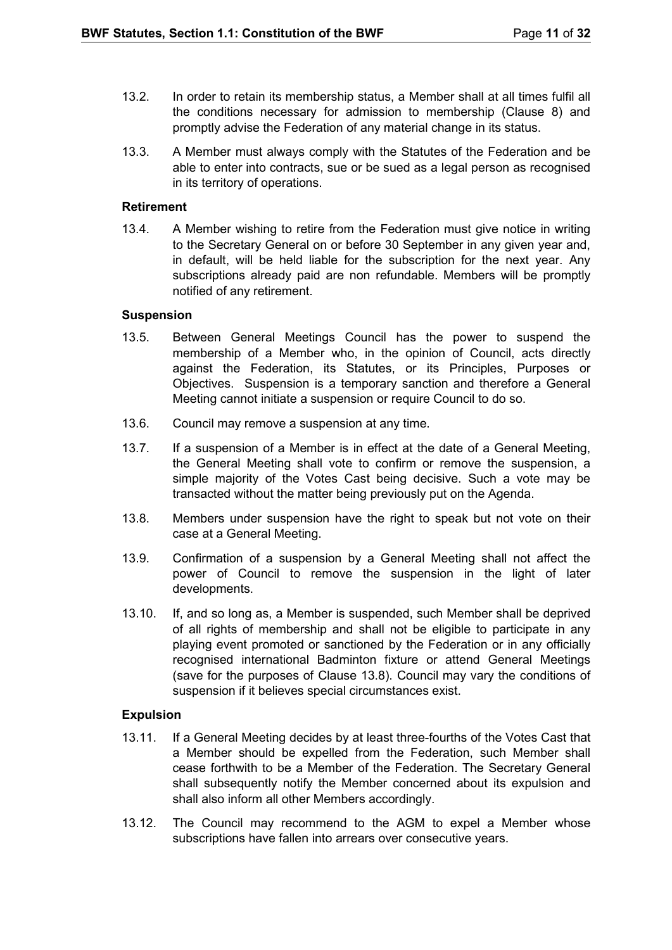- 13.2. In order to retain its membership status, a Member shall at all times fulfil all the conditions necessary for admission to membership (Clause 8) and promptly advise the Federation of any material change in its status.
- 13.3. A Member must always comply with the Statutes of the Federation and be able to enter into contracts, sue or be sued as a legal person as recognised in its territory of operations.

#### **Retirement**

13.4. A Member wishing to retire from the Federation must give notice in writing to the Secretary General on or before 30 September in any given year and, in default, will be held liable for the subscription for the next year. Any subscriptions already paid are non refundable. Members will be promptly notified of any retirement.

#### **Suspension**

- 13.5. Between General Meetings Council has the power to suspend the membership of a Member who, in the opinion of Council, acts directly against the Federation, its Statutes, or its Principles, Purposes or Objectives. Suspension is a temporary sanction and therefore a General Meeting cannot initiate a suspension or require Council to do so.
- 13.6. Council may remove a suspension at any time.
- 13.7. If a suspension of a Member is in effect at the date of a General Meeting, the General Meeting shall vote to confirm or remove the suspension, a simple majority of the Votes Cast being decisive. Such a vote may be transacted without the matter being previously put on the Agenda.
- 13.8. Members under suspension have the right to speak but not vote on their case at a General Meeting.
- 13.9. Confirmation of a suspension by a General Meeting shall not affect the power of Council to remove the suspension in the light of later developments.
- 13.10. If, and so long as, a Member is suspended, such Member shall be deprived of all rights of membership and shall not be eligible to participate in any playing event promoted or sanctioned by the Federation or in any officially recognised international Badminton fixture or attend General Meetings (save for the purposes of Clause 13.8). Council may vary the conditions of suspension if it believes special circumstances exist.

## **Expulsion**

- 13.11. If a General Meeting decides by at least three-fourths of the Votes Cast that a Member should be expelled from the Federation, such Member shall cease forthwith to be a Member of the Federation. The Secretary General shall subsequently notify the Member concerned about its expulsion and shall also inform all other Members accordingly.
- 13.12. The Council may recommend to the AGM to expel a Member whose subscriptions have fallen into arrears over consecutive years.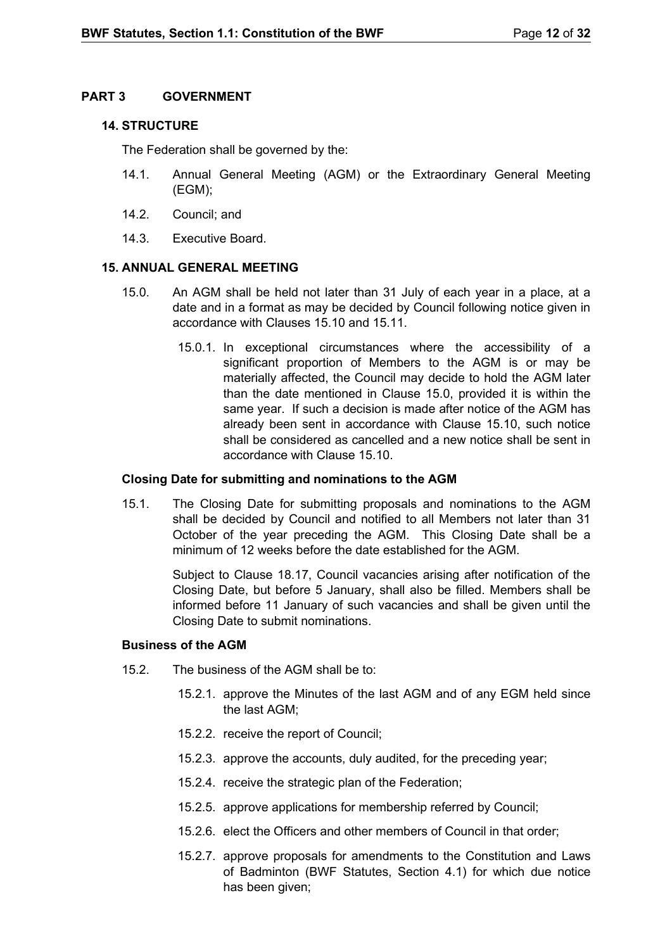## <span id="page-11-0"></span>**PART 3 GOVERNMENT**

## <span id="page-11-1"></span>**14. STRUCTURE**

The Federation shall be governed by the:

- 14.1. Annual General Meeting (AGM) or the Extraordinary General Meeting (EGM);
- 14.2. Council; and
- 14.3. Executive Board.

## <span id="page-11-2"></span>**15. ANNUAL GENERAL MEETING**

- 15.0. An AGM shall be held not later than 31 July of each year in a place, at a date and in a format as may be decided by Council following notice given in accordance with Clauses 15.10 and 15.11.
	- 15.0.1. In exceptional circumstances where the accessibility of a significant proportion of Members to the AGM is or may be materially affected, the Council may decide to hold the AGM later than the date mentioned in Clause 15.0, provided it is within the same year. If such a decision is made after notice of the AGM has already been sent in accordance with Clause 15.10, such notice shall be considered as cancelled and a new notice shall be sent in accordance with Clause 15.10.

#### **Closing Date for submitting and nominations to the AGM**

15.1. The Closing Date for submitting proposals and nominations to the AGM shall be decided by Council and notified to all Members not later than 31 October of the year preceding the AGM. This Closing Date shall be a minimum of 12 weeks before the date established for the AGM.

> Subject to Clause 18.17, Council vacancies arising after notification of the Closing Date, but before 5 January, shall also be filled. Members shall be informed before 11 January of such vacancies and shall be given until the Closing Date to submit nominations.

#### **Business of the AGM**

- 15.2. The business of the AGM shall be to:
	- 15.2.1. approve the Minutes of the last AGM and of any EGM held since the last AGM;
	- 15.2.2. receive the report of Council;
	- 15.2.3. approve the accounts, duly audited, for the preceding year;
	- 15.2.4. receive the strategic plan of the Federation;
	- 15.2.5. approve applications for membership referred by Council;
	- 15.2.6. elect the Officers and other members of Council in that order;
	- 15.2.7. approve proposals for amendments to the Constitution and Laws of Badminton (BWF Statutes, Section 4.1) for which due notice has been given;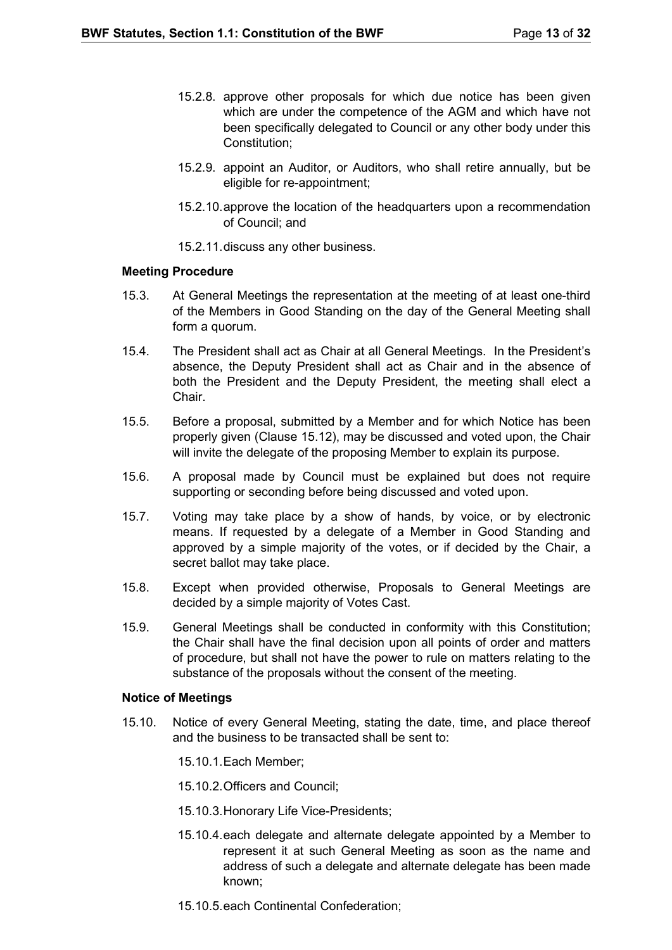- 15.2.8. approve other proposals for which due notice has been given which are under the competence of the AGM and which have not been specifically delegated to Council or any other body under this Constitution;
- 15.2.9. appoint an Auditor, or Auditors, who shall retire annually, but be eligible for re-appointment;
- 15.2.10.approve the location of the headquarters upon a recommendation of Council; and
- 15.2.11.discuss any other business.

#### **Meeting Procedure**

- 15.3. At General Meetings the representation at the meeting of at least one-third of the Members in Good Standing on the day of the General Meeting shall form a quorum.
- 15.4. The President shall act as Chair at all General Meetings. In the President's absence, the Deputy President shall act as Chair and in the absence of both the President and the Deputy President, the meeting shall elect a Chair.
- 15.5. Before a proposal, submitted by a Member and for which Notice has been properly given (Clause 15.12), may be discussed and voted upon, the Chair will invite the delegate of the proposing Member to explain its purpose.
- 15.6. A proposal made by Council must be explained but does not require supporting or seconding before being discussed and voted upon.
- 15.7. Voting may take place by a show of hands, by voice, or by electronic means. If requested by a delegate of a Member in Good Standing and approved by a simple majority of the votes, or if decided by the Chair, a secret ballot may take place.
- 15.8. Except when provided otherwise, Proposals to General Meetings are decided by a simple majority of Votes Cast.
- 15.9. General Meetings shall be conducted in conformity with this Constitution; the Chair shall have the final decision upon all points of order and matters of procedure, but shall not have the power to rule on matters relating to the substance of the proposals without the consent of the meeting.

#### **Notice of Meetings**

- 15.10. Notice of every General Meeting, stating the date, time, and place thereof and the business to be transacted shall be sent to:
	- 15.10.1.Each Member;
	- 15.10.2.Officers and Council;
	- 15.10.3.Honorary Life Vice-Presidents;
	- 15.10.4.each delegate and alternate delegate appointed by a Member to represent it at such General Meeting as soon as the name and address of such a delegate and alternate delegate has been made known;
	- 15.10.5.each Continental Confederation;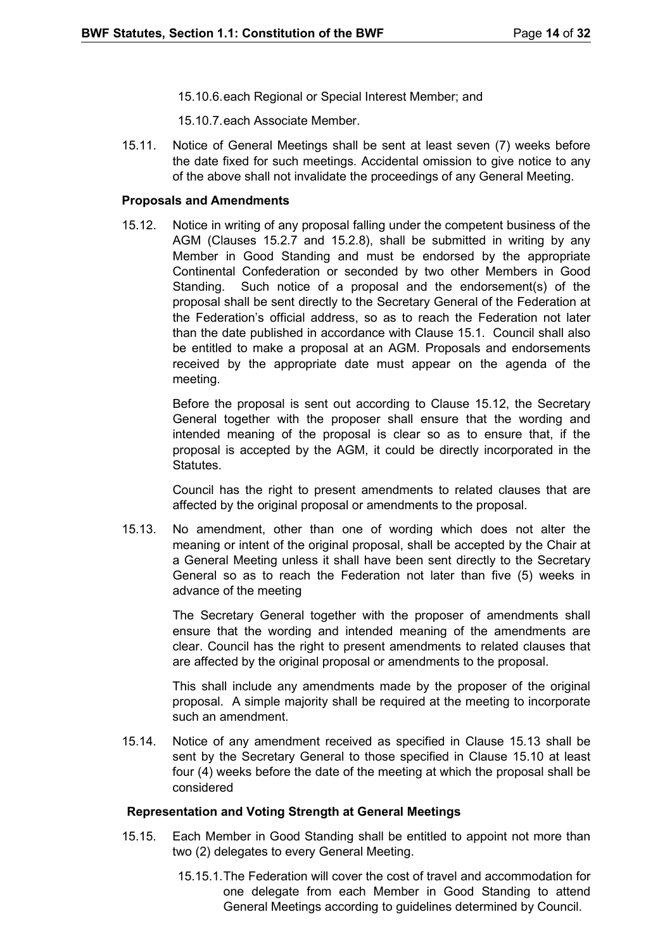15.10.6.each Regional or Special Interest Member; and

15.10.7.each Associate Member.

15.11. Notice of General Meetings shall be sent at least seven (7) weeks before the date fixed for such meetings. Accidental omission to give notice to any of the above shall not invalidate the proceedings of any General Meeting.

#### **Proposals and Amendments**

15.12. Notice in writing of any proposal falling under the competent business of the AGM (Clauses 15.2.7 and 15.2.8), shall be submitted in writing by any Member in Good Standing and must be endorsed by the appropriate Continental Confederation or seconded by two other Members in Good Standing. Such notice of a proposal and the endorsement(s) of the proposal shall be sent directly to the Secretary General of the Federation at the Federation's official address, so as to reach the Federation not later than the date published in accordance with Clause 15.1. Council shall also be entitled to make a proposal at an AGM. Proposals and endorsements received by the appropriate date must appear on the agenda of the meeting.

> Before the proposal is sent out according to Clause 15.12, the Secretary General together with the proposer shall ensure that the wording and intended meaning of the proposal is clear so as to ensure that, if the proposal is accepted by the AGM, it could be directly incorporated in the Statutes.

> Council has the right to present amendments to related clauses that are affected by the original proposal or amendments to the proposal.

15.13. No amendment, other than one of wording which does not alter the meaning or intent of the original proposal, shall be accepted by the Chair at a General Meeting unless it shall have been sent directly to the Secretary General so as to reach the Federation not later than five (5) weeks in advance of the meeting

> The Secretary General together with the proposer of amendments shall ensure that the wording and intended meaning of the amendments are clear. Council has the right to present amendments to related clauses that are affected by the original proposal or amendments to the proposal.

> This shall include any amendments made by the proposer of the original proposal. A simple majority shall be required at the meeting to incorporate such an amendment.

15.14. Notice of any amendment received as specified in Clause 15.13 shall be sent by the Secretary General to those specified in Clause 15.10 at least four (4) weeks before the date of the meeting at which the proposal shall be considered

#### **Representation and Voting Strength at General Meetings**

- 15.15. Each Member in Good Standing shall be entitled to appoint not more than two (2) delegates to every General Meeting.
	- 15.15.1.The Federation will cover the cost of travel and accommodation for one delegate from each Member in Good Standing to attend General Meetings according to guidelines determined by Council.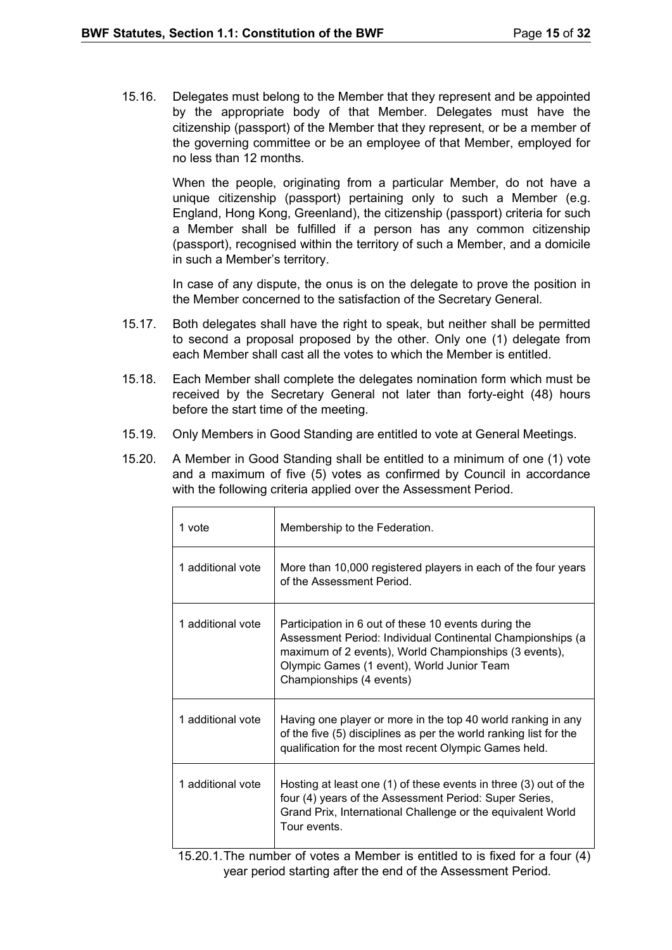15.16. Delegates must belong to the Member that they represent and be appointed by the appropriate body of that Member. Delegates must have the citizenship (passport) of the Member that they represent, or be a member of the governing committee or be an employee of that Member, employed for no less than 12 months.

> When the people, originating from a particular Member, do not have a unique citizenship (passport) pertaining only to such a Member (e.g. England, Hong Kong, Greenland), the citizenship (passport) criteria for such a Member shall be fulfilled if a person has any common citizenship (passport), recognised within the territory of such a Member, and a domicile in such a Member's territory.

> In case of any dispute, the onus is on the delegate to prove the position in the Member concerned to the satisfaction of the Secretary General.

- 15.17. Both delegates shall have the right to speak, but neither shall be permitted to second a proposal proposed by the other. Only one (1) delegate from each Member shall cast all the votes to which the Member is entitled.
- 15.18. Each Member shall complete the delegates nomination form which must be received by the Secretary General not later than forty-eight (48) hours before the start time of the meeting.
- 15.19. Only Members in Good Standing are entitled to vote at General Meetings.
- 15.20. A Member in Good Standing shall be entitled to a minimum of one (1) vote and a maximum of five (5) votes as confirmed by Council in accordance with the following criteria applied over the Assessment Period.

| 1 vote            | Membership to the Federation.                                                                                                                                                                                                                         |
|-------------------|-------------------------------------------------------------------------------------------------------------------------------------------------------------------------------------------------------------------------------------------------------|
| 1 additional vote | More than 10,000 registered players in each of the four years<br>of the Assessment Period.                                                                                                                                                            |
| 1 additional vote | Participation in 6 out of these 10 events during the<br>Assessment Period: Individual Continental Championships (a<br>maximum of 2 events), World Championships (3 events),<br>Olympic Games (1 event), World Junior Team<br>Championships (4 events) |
| 1 additional vote | Having one player or more in the top 40 world ranking in any<br>of the five (5) disciplines as per the world ranking list for the<br>qualification for the most recent Olympic Games held.                                                            |
| 1 additional vote | Hosting at least one $(1)$ of these events in three $(3)$ out of the<br>four (4) years of the Assessment Period: Super Series,<br>Grand Prix, International Challenge or the equivalent World<br>Tour events.                                         |

15.20.1.The number of votes a Member is entitled to is fixed for a four (4) year period starting after the end of the Assessment Period.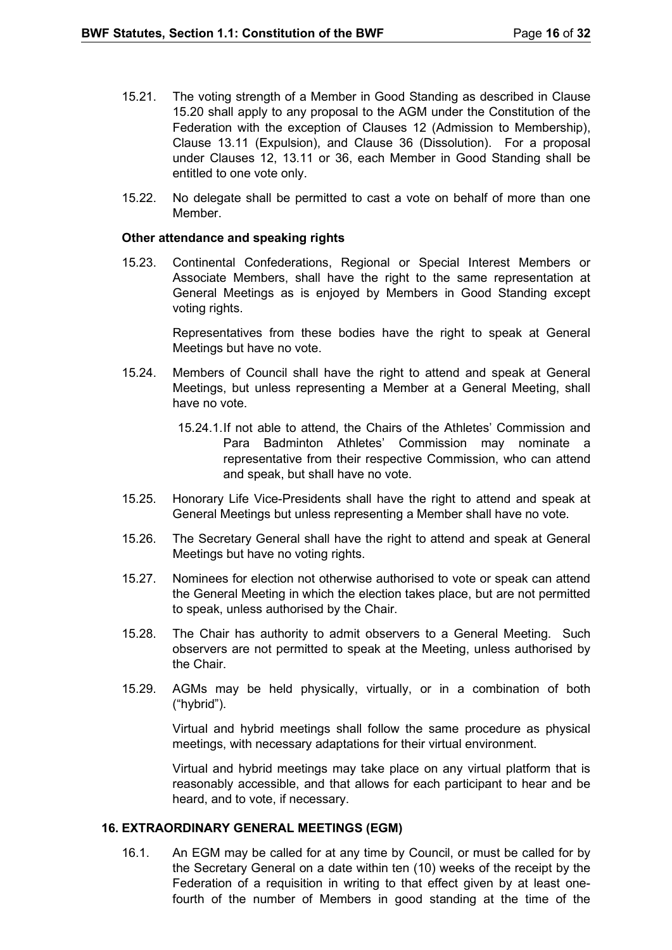- 15.21. The voting strength of a Member in Good Standing as described in Clause 15.20 shall apply to any proposal to the AGM under the Constitution of the Federation with the exception of Clauses 12 (Admission to Membership), Clause 13.11 (Expulsion), and Clause 36 (Dissolution). For a proposal under Clauses 12, 13.11 or 36, each Member in Good Standing shall be entitled to one vote only.
- 15.22. No delegate shall be permitted to cast a vote on behalf of more than one Member.

#### **Other attendance and speaking rights**

15.23. Continental Confederations, Regional or Special Interest Members or Associate Members, shall have the right to the same representation at General Meetings as is enjoyed by Members in Good Standing except voting rights.

> Representatives from these bodies have the right to speak at General Meetings but have no vote.

- 15.24. Members of Council shall have the right to attend and speak at General Meetings, but unless representing a Member at a General Meeting, shall have no vote.
	- 15.24.1.If not able to attend, the Chairs of the Athletes' Commission and Para Badminton Athletes' Commission may nominate a representative from their respective Commission, who can attend and speak, but shall have no vote.
- 15.25. Honorary Life Vice-Presidents shall have the right to attend and speak at General Meetings but unless representing a Member shall have no vote.
- 15.26. The Secretary General shall have the right to attend and speak at General Meetings but have no voting rights.
- 15.27. Nominees for election not otherwise authorised to vote or speak can attend the General Meeting in which the election takes place, but are not permitted to speak, unless authorised by the Chair.
- 15.28. The Chair has authority to admit observers to a General Meeting. Such observers are not permitted to speak at the Meeting, unless authorised by the Chair.
- 15.29. AGMs may be held physically, virtually, or in a combination of both ("hybrid").

Virtual and hybrid meetings shall follow the same procedure as physical meetings, with necessary adaptations for their virtual environment.

Virtual and hybrid meetings may take place on any virtual platform that is reasonably accessible, and that allows for each participant to hear and be heard, and to vote, if necessary.

#### <span id="page-15-0"></span>**16. EXTRAORDINARY GENERAL MEETINGS (EGM)**

16.1. An EGM may be called for at any time by Council, or must be called for by the Secretary General on a date within ten (10) weeks of the receipt by the Federation of a requisition in writing to that effect given by at least onefourth of the number of Members in good standing at the time of the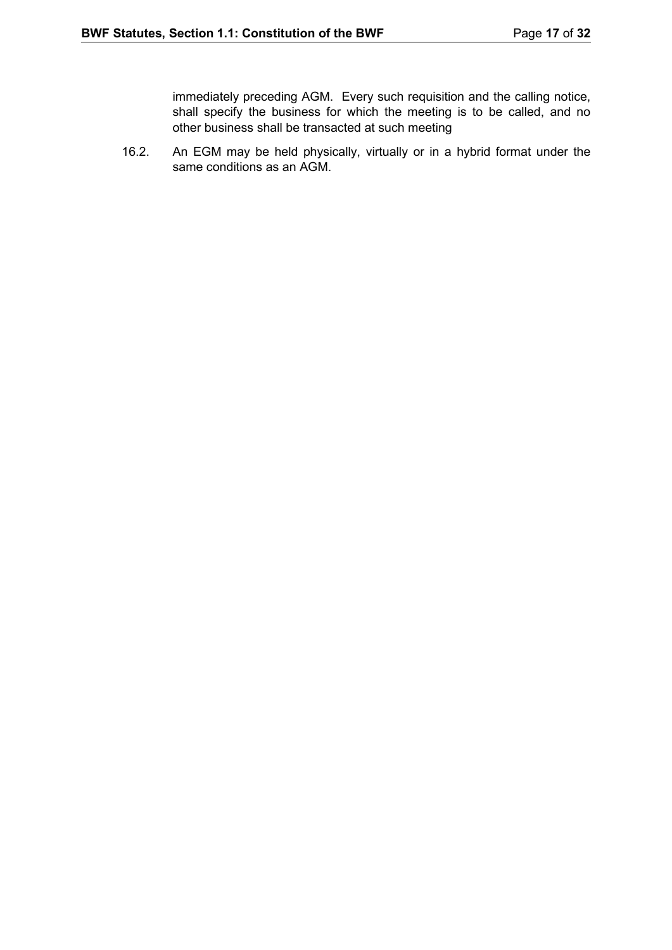immediately preceding AGM. Every such requisition and the calling notice, shall specify the business for which the meeting is to be called, and no other business shall be transacted at such meeting

16.2. An EGM may be held physically, virtually or in a hybrid format under the same conditions as an AGM.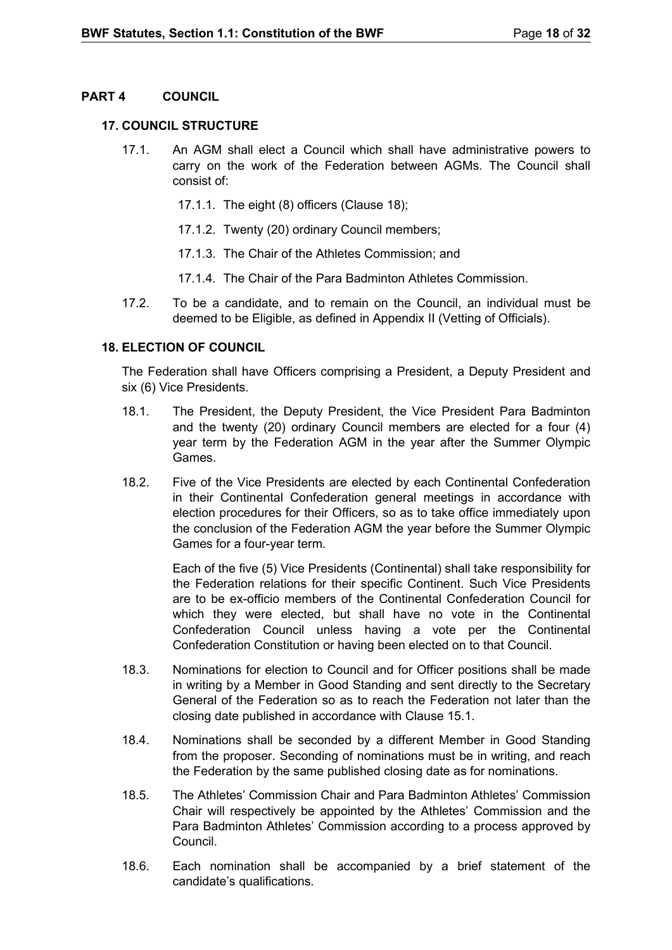## <span id="page-17-0"></span>**PART 4 COUNCIL**

## <span id="page-17-1"></span>**17. COUNCIL STRUCTURE**

- 17.1. An AGM shall elect a Council which shall have administrative powers to carry on the work of the Federation between AGMs. The Council shall consist of:
	- 17.1.1. The eight (8) officers (Clause 18);
	- 17.1.2. Twenty (20) ordinary Council members;
	- 17.1.3. The Chair of the Athletes Commission; and
	- 17.1.4. The Chair of the Para Badminton Athletes Commission.
- 17.2. To be a candidate, and to remain on the Council, an individual must be deemed to be Eligible, as defined in Appendix II (Vetting of Officials).

## <span id="page-17-2"></span>**18. ELECTION OF COUNCIL**

The Federation shall have Officers comprising a President, a Deputy President and six (6) Vice Presidents.

- 18.1. The President, the Deputy President, the Vice President Para Badminton and the twenty (20) ordinary Council members are elected for a four (4) year term by the Federation AGM in the year after the Summer Olympic Games.
- 18.2. Five of the Vice Presidents are elected by each Continental Confederation in their Continental Confederation general meetings in accordance with election procedures for their Officers, so as to take office immediately upon the conclusion of the Federation AGM the year before the Summer Olympic Games for a four-year term.

Each of the five (5) Vice Presidents (Continental) shall take responsibility for the Federation relations for their specific Continent. Such Vice Presidents are to be ex-officio members of the Continental Confederation Council for which they were elected, but shall have no vote in the Continental Confederation Council unless having a vote per the Continental Confederation Constitution or having been elected on to that Council.

- 18.3. Nominations for election to Council and for Officer positions shall be made in writing by a Member in Good Standing and sent directly to the Secretary General of the Federation so as to reach the Federation not later than the closing date published in accordance with Clause 15.1.
- 18.4. Nominations shall be seconded by a different Member in Good Standing from the proposer. Seconding of nominations must be in writing, and reach the Federation by the same published closing date as for nominations.
- 18.5. The Athletes' Commission Chair and Para Badminton Athletes' Commission Chair will respectively be appointed by the Athletes' Commission and the Para Badminton Athletes' Commission according to a process approved by Council.
- 18.6. Each nomination shall be accompanied by a brief statement of the candidate's qualifications.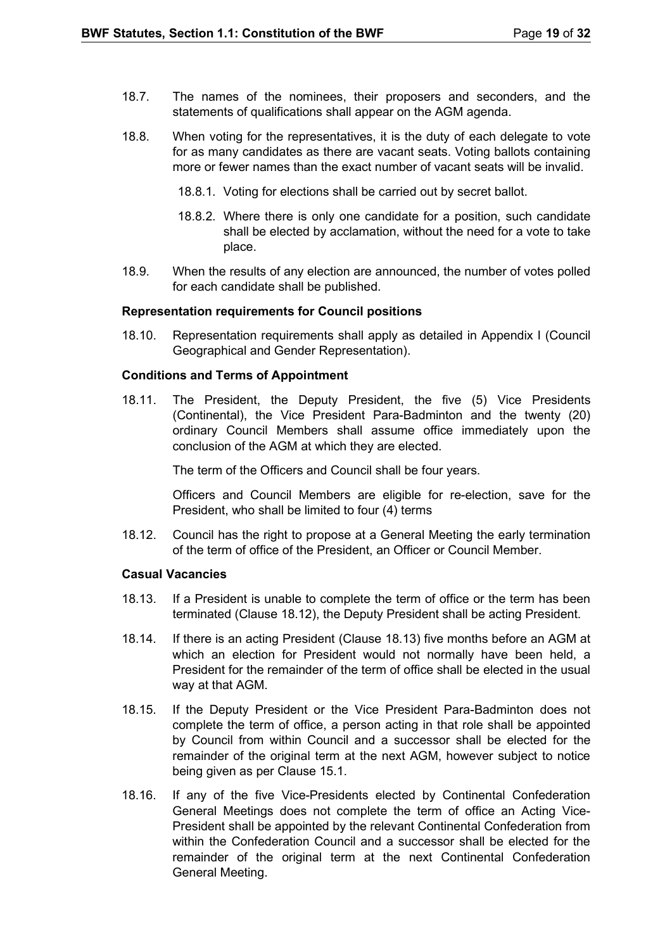- 18.7. The names of the nominees, their proposers and seconders, and the statements of qualifications shall appear on the AGM agenda.
- 18.8. When voting for the representatives, it is the duty of each delegate to vote for as many candidates as there are vacant seats. Voting ballots containing more or fewer names than the exact number of vacant seats will be invalid.
	- 18.8.1. Voting for elections shall be carried out by secret ballot.
	- 18.8.2. Where there is only one candidate for a position, such candidate shall be elected by acclamation, without the need for a vote to take place.
- 18.9. When the results of any election are announced, the number of votes polled for each candidate shall be published.

#### **Representation requirements for Council positions**

18.10. Representation requirements shall apply as detailed in Appendix I (Council Geographical and Gender Representation).

#### **Conditions and Terms of Appointment**

18.11. The President, the Deputy President, the five (5) Vice Presidents (Continental), the Vice President Para-Badminton and the twenty (20) ordinary Council Members shall assume office immediately upon the conclusion of the AGM at which they are elected.

The term of the Officers and Council shall be four years.

Officers and Council Members are eligible for re-election, save for the President, who shall be limited to four (4) terms

18.12. Council has the right to propose at a General Meeting the early termination of the term of office of the President, an Officer or Council Member.

#### **Casual Vacancies**

- 18.13. If a President is unable to complete the term of office or the term has been terminated (Clause 18.12), the Deputy President shall be acting President.
- 18.14. If there is an acting President (Clause 18.13) five months before an AGM at which an election for President would not normally have been held, a President for the remainder of the term of office shall be elected in the usual way at that AGM.
- 18.15. If the Deputy President or the Vice President Para-Badminton does not complete the term of office, a person acting in that role shall be appointed by Council from within Council and a successor shall be elected for the remainder of the original term at the next AGM, however subject to notice being given as per Clause 15.1.
- 18.16. If any of the five Vice-Presidents elected by Continental Confederation General Meetings does not complete the term of office an Acting Vice-President shall be appointed by the relevant Continental Confederation from within the Confederation Council and a successor shall be elected for the remainder of the original term at the next Continental Confederation General Meeting.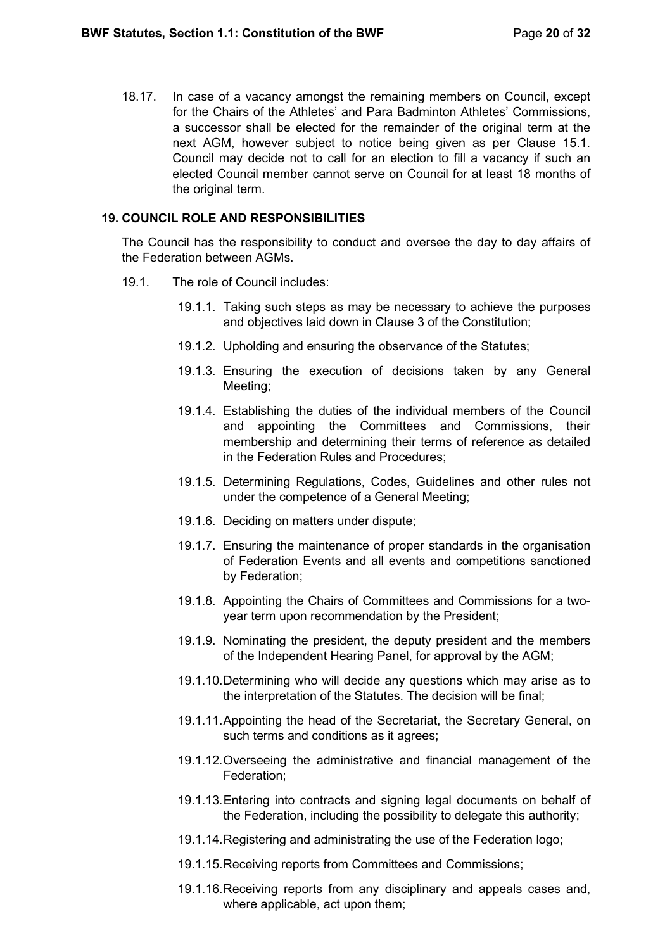18.17. In case of a vacancy amongst the remaining members on Council, except for the Chairs of the Athletes' and Para Badminton Athletes' Commissions, a successor shall be elected for the remainder of the original term at the next AGM, however subject to notice being given as per Clause 15.1. Council may decide not to call for an election to fill a vacancy if such an elected Council member cannot serve on Council for at least 18 months of the original term.

#### <span id="page-19-0"></span>**19. COUNCIL ROLE AND RESPONSIBILITIES**

The Council has the responsibility to conduct and oversee the day to day affairs of the Federation between AGMs.

- 19.1. The role of Council includes:
	- 19.1.1. Taking such steps as may be necessary to achieve the purposes and objectives laid down in Clause 3 of the Constitution;
	- 19.1.2. Upholding and ensuring the observance of the Statutes;
	- 19.1.3. Ensuring the execution of decisions taken by any General Meeting;
	- 19.1.4. Establishing the duties of the individual members of the Council and appointing the Committees and Commissions, their membership and determining their terms of reference as detailed in the Federation Rules and Procedures;
	- 19.1.5. Determining Regulations, Codes, Guidelines and other rules not under the competence of a General Meeting;
	- 19.1.6. Deciding on matters under dispute;
	- 19.1.7. Ensuring the maintenance of proper standards in the organisation of Federation Events and all events and competitions sanctioned by Federation;
	- 19.1.8. Appointing the Chairs of Committees and Commissions for a twoyear term upon recommendation by the President;
	- 19.1.9. Nominating the president, the deputy president and the members of the Independent Hearing Panel, for approval by the AGM;
	- 19.1.10.Determining who will decide any questions which may arise as to the interpretation of the Statutes. The decision will be final;
	- 19.1.11.Appointing the head of the Secretariat, the Secretary General, on such terms and conditions as it agrees;
	- 19.1.12.Overseeing the administrative and financial management of the Federation;
	- 19.1.13.Entering into contracts and signing legal documents on behalf of the Federation, including the possibility to delegate this authority;
	- 19.1.14.Registering and administrating the use of the Federation logo;
	- 19.1.15.Receiving reports from Committees and Commissions;
	- 19.1.16.Receiving reports from any disciplinary and appeals cases and, where applicable, act upon them;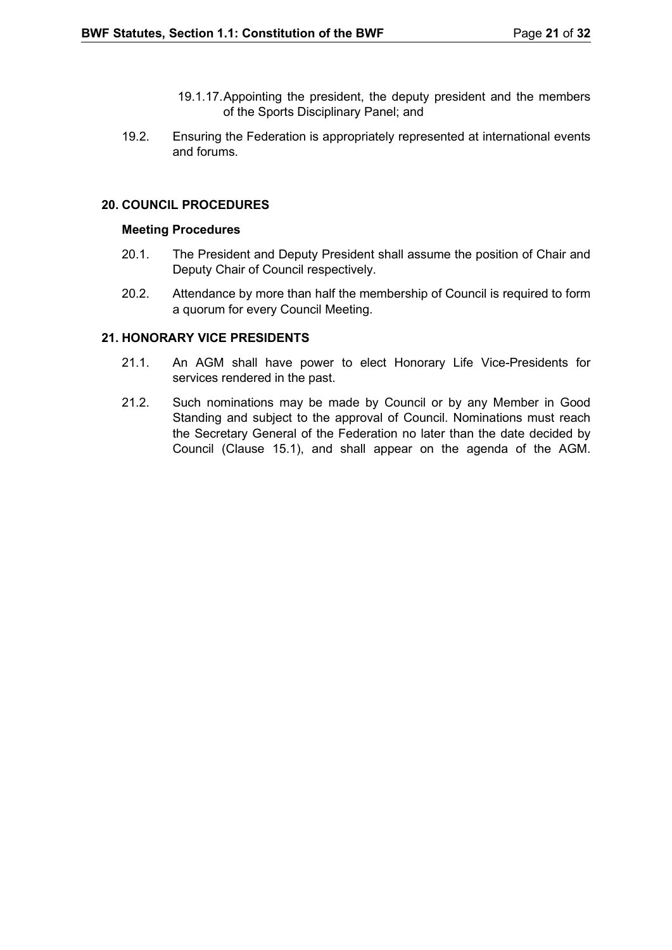- 19.1.17.Appointing the president, the deputy president and the members of the Sports Disciplinary Panel; and
- 19.2. Ensuring the Federation is appropriately represented at international events and forums.

## <span id="page-20-0"></span>**20. COUNCIL PROCEDURES**

#### **Meeting Procedures**

- 20.1. The President and Deputy President shall assume the position of Chair and Deputy Chair of Council respectively.
- 20.2. Attendance by more than half the membership of Council is required to form a quorum for every Council Meeting.

#### <span id="page-20-1"></span>**21. HONORARY VICE PRESIDENTS**

- 21.1. An AGM shall have power to elect Honorary Life Vice-Presidents for services rendered in the past.
- 21.2. Such nominations may be made by Council or by any Member in Good Standing and subject to the approval of Council. Nominations must reach the Secretary General of the Federation no later than the date decided by Council (Clause 15.1), and shall appear on the agenda of the AGM.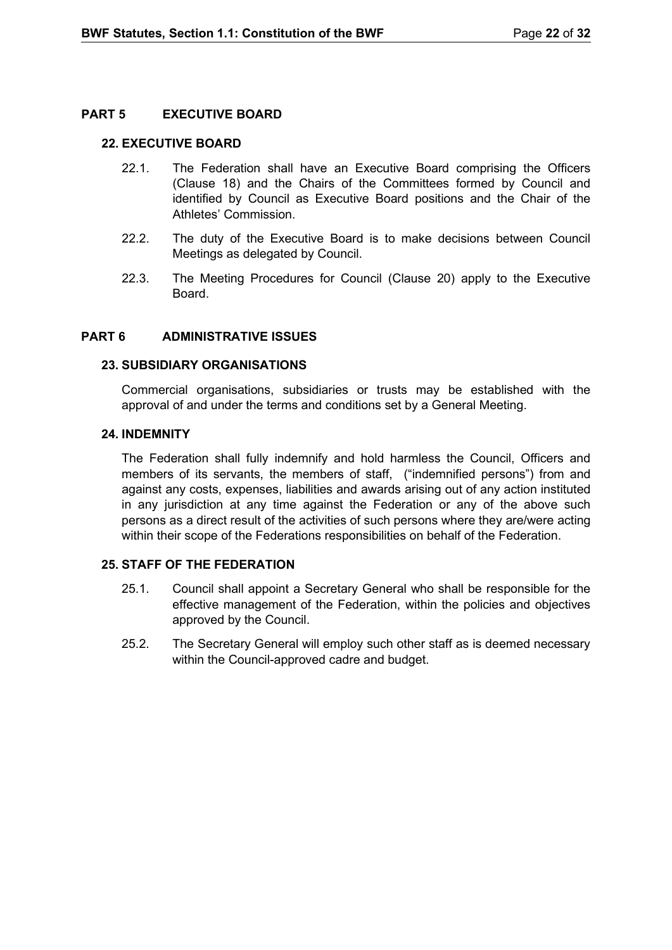## <span id="page-21-0"></span>**PART 5 EXECUTIVE BOARD**

#### <span id="page-21-1"></span>**22. EXECUTIVE BOARD**

- 22.1. The Federation shall have an Executive Board comprising the Officers (Clause 18) and the Chairs of the Committees formed by Council and identified by Council as Executive Board positions and the Chair of the Athletes' Commission.
- 22.2. The duty of the Executive Board is to make decisions between Council Meetings as delegated by Council.
- 22.3. The Meeting Procedures for Council (Clause 20) apply to the Executive Board.

#### <span id="page-21-2"></span>**PART 6 ADMINISTRATIVE ISSUES**

#### <span id="page-21-3"></span>**23. SUBSIDIARY ORGANISATIONS**

Commercial organisations, subsidiaries or trusts may be established with the approval of and under the terms and conditions set by a General Meeting.

#### <span id="page-21-4"></span>**24. INDEMNITY**

The Federation shall fully indemnify and hold harmless the Council, Officers and members of its servants, the members of staff, ("indemnified persons") from and against any costs, expenses, liabilities and awards arising out of any action instituted in any jurisdiction at any time against the Federation or any of the above such persons as a direct result of the activities of such persons where they are/were acting within their scope of the Federations responsibilities on behalf of the Federation.

## <span id="page-21-5"></span>**25. STAFF OF THE FEDERATION**

- 25.1. Council shall appoint a Secretary General who shall be responsible for the effective management of the Federation, within the policies and objectives approved by the Council.
- 25.2. The Secretary General will employ such other staff as is deemed necessary within the Council-approved cadre and budget.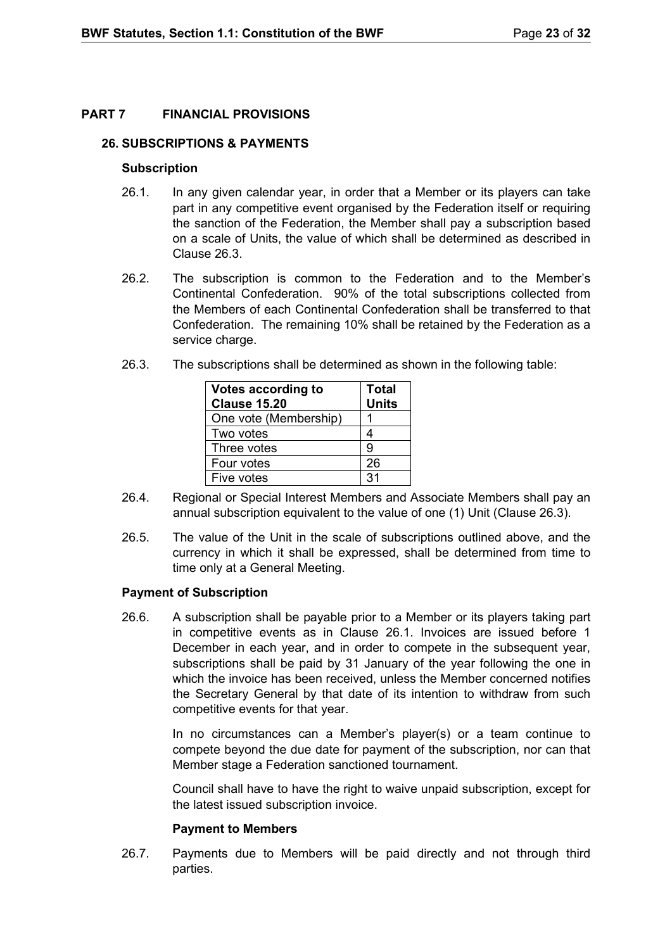## <span id="page-22-0"></span>**PART 7 FINANCIAL PROVISIONS**

#### <span id="page-22-1"></span>**26. SUBSCRIPTIONS & PAYMENTS**

#### **Subscription**

- 26.1. In any given calendar year, in order that a Member or its players can take part in any competitive event organised by the Federation itself or requiring the sanction of the Federation, the Member shall pay a subscription based on a scale of Units, the value of which shall be determined as described in Clause 26.3.
- 26.2. The subscription is common to the Federation and to the Member's Continental Confederation. 90% of the total subscriptions collected from the Members of each Continental Confederation shall be transferred to that Confederation. The remaining 10% shall be retained by the Federation as a service charge.
- 26.3. The subscriptions shall be determined as shown in the following table:

| Votes according to<br><b>Clause 15.20</b> | <b>Total</b><br><b>Units</b> |
|-------------------------------------------|------------------------------|
| One vote (Membership)                     |                              |
| Two votes                                 |                              |
| Three votes                               | g                            |
| Four votes                                | 26                           |
| Five votes                                | 31                           |

- 26.4. Regional or Special Interest Members and Associate Members shall pay an annual subscription equivalent to the value of one (1) Unit (Clause 26.3).
- 26.5. The value of the Unit in the scale of subscriptions outlined above, and the currency in which it shall be expressed, shall be determined from time to time only at a General Meeting.

## **Payment of Subscription**

26.6. A subscription shall be payable prior to a Member or its players taking part in competitive events as in Clause 26.1. Invoices are issued before 1 December in each year, and in order to compete in the subsequent year, subscriptions shall be paid by 31 January of the year following the one in which the invoice has been received, unless the Member concerned notifies the Secretary General by that date of its intention to withdraw from such competitive events for that year.

> In no circumstances can a Member's player(s) or a team continue to compete beyond the due date for payment of the subscription, nor can that Member stage a Federation sanctioned tournament.

> Council shall have to have the right to waive unpaid subscription, except for the latest issued subscription invoice.

## **Payment to Members**

26.7. Payments due to Members will be paid directly and not through third parties.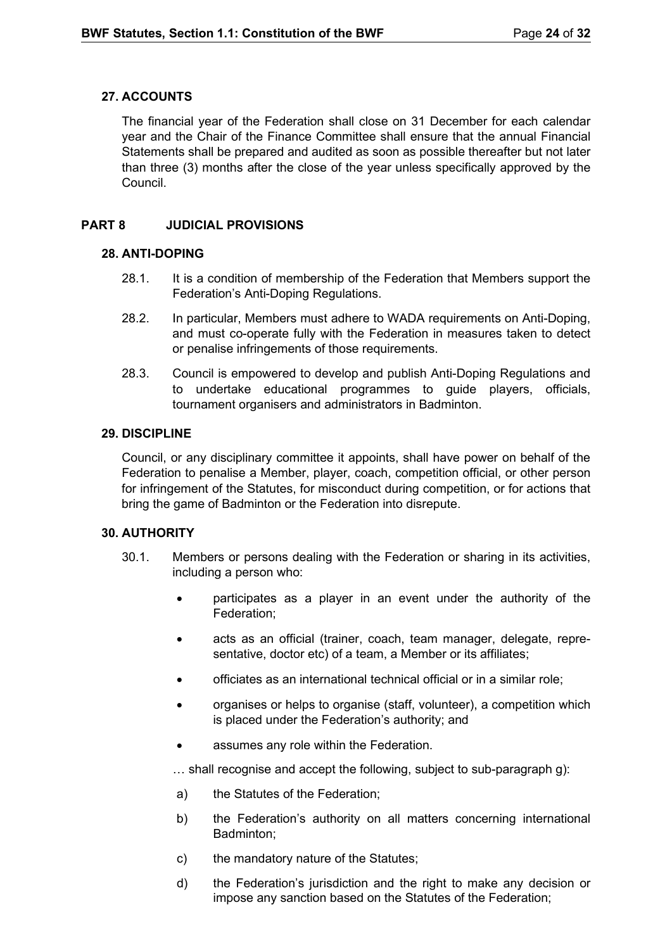## <span id="page-23-0"></span>**27. ACCOUNTS**

The financial year of the Federation shall close on 31 December for each calendar year and the Chair of the Finance Committee shall ensure that the annual Financial Statements shall be prepared and audited as soon as possible thereafter but not later than three (3) months after the close of the year unless specifically approved by the Council.

## **PART 8 JUDICIAL PROVISIONS**

## <span id="page-23-2"></span><span id="page-23-1"></span>**28. ANTI-DOPING**

- 28.1. It is a condition of membership of the Federation that Members support the Federation's Anti-Doping Regulations.
- 28.2. In particular, Members must adhere to WADA requirements on Anti-Doping, and must co-operate fully with the Federation in measures taken to detect or penalise infringements of those requirements.
- 28.3. Council is empowered to develop and publish Anti-Doping Regulations and to undertake educational programmes to guide players, officials, tournament organisers and administrators in Badminton.

## <span id="page-23-3"></span>**29. DISCIPLINE**

Council, or any disciplinary committee it appoints, shall have power on behalf of the Federation to penalise a Member, player, coach, competition official, or other person for infringement of the Statutes, for misconduct during competition, or for actions that bring the game of Badminton or the Federation into disrepute.

## <span id="page-23-4"></span>**30. AUTHORITY**

- 30.1. Members or persons dealing with the Federation or sharing in its activities, including a person who:
	- participates as a player in an event under the authority of the Federation;
	- acts as an official (trainer, coach, team manager, delegate, representative, doctor etc) of a team, a Member or its affiliates;
	- officiates as an international technical official or in a similar role;
	- organises or helps to organise (staff, volunteer), a competition which is placed under the Federation's authority; and
	- assumes any role within the Federation.

… shall recognise and accept the following, subject to sub-paragraph g):

- a) the Statutes of the Federation;
- b) the Federation's authority on all matters concerning international Badminton;
- c) the mandatory nature of the Statutes;
- d) the Federation's jurisdiction and the right to make any decision or impose any sanction based on the Statutes of the Federation;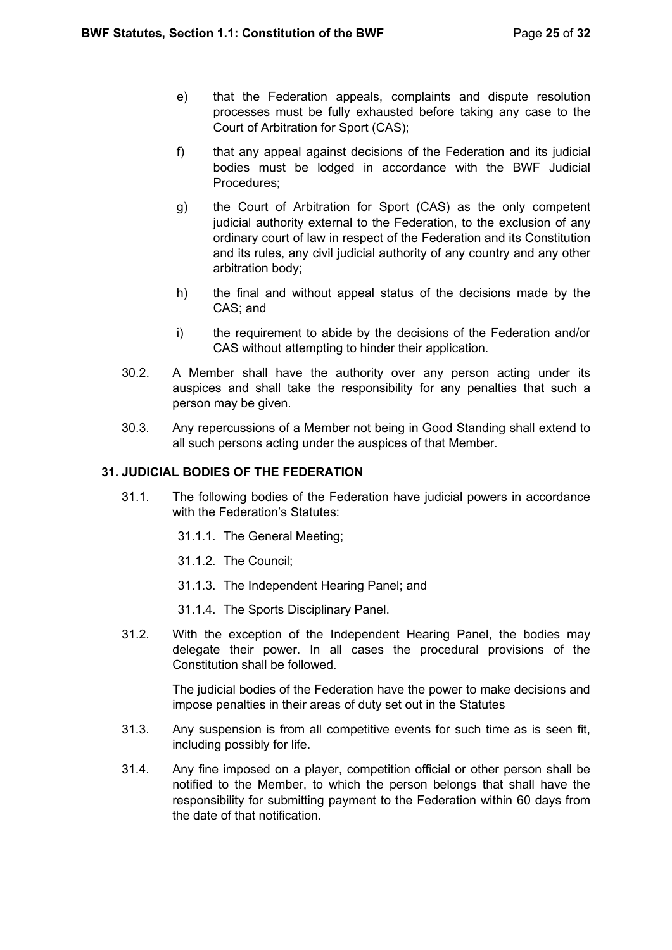- e) that the Federation appeals, complaints and dispute resolution processes must be fully exhausted before taking any case to the Court of Arbitration for Sport (CAS);
- f) that any appeal against decisions of the Federation and its judicial bodies must be lodged in accordance with the BWF Judicial Procedures;
- g) the Court of Arbitration for Sport (CAS) as the only competent judicial authority external to the Federation, to the exclusion of any ordinary court of law in respect of the Federation and its Constitution and its rules, any civil judicial authority of any country and any other arbitration body;
- h) the final and without appeal status of the decisions made by the CAS; and
- i) the requirement to abide by the decisions of the Federation and/or CAS without attempting to hinder their application.
- 30.2. A Member shall have the authority over any person acting under its auspices and shall take the responsibility for any penalties that such a person may be given.
- 30.3. Any repercussions of a Member not being in Good Standing shall extend to all such persons acting under the auspices of that Member.

## <span id="page-24-0"></span>**31. JUDICIAL BODIES OF THE FEDERATION**

- 31.1. The following bodies of the Federation have judicial powers in accordance with the Federation's Statutes:
	- 31.1.1. The General Meeting;
	- 31.1.2. The Council;
	- 31.1.3. The Independent Hearing Panel; and
	- 31.1.4. The Sports Disciplinary Panel.
- 31.2. With the exception of the Independent Hearing Panel, the bodies may delegate their power. In all cases the procedural provisions of the Constitution shall be followed.

The judicial bodies of the Federation have the power to make decisions and impose penalties in their areas of duty set out in the Statutes

- 31.3. Any suspension is from all competitive events for such time as is seen fit, including possibly for life.
- 31.4. Any fine imposed on a player, competition official or other person shall be notified to the Member, to which the person belongs that shall have the responsibility for submitting payment to the Federation within 60 days from the date of that notification.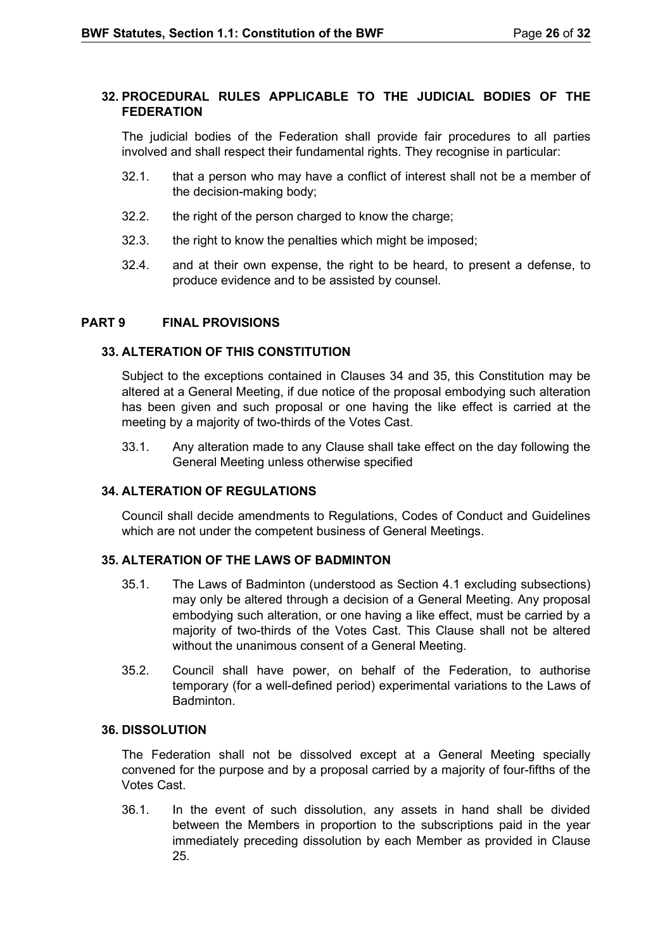## <span id="page-25-0"></span>**32. PROCEDURAL RULES APPLICABLE TO THE JUDICIAL BODIES OF THE FEDERATION**

The judicial bodies of the Federation shall provide fair procedures to all parties involved and shall respect their fundamental rights. They recognise in particular:

- 32.1. that a person who may have a conflict of interest shall not be a member of the decision-making body;
- 32.2. the right of the person charged to know the charge;
- 32.3. the right to know the penalties which might be imposed;
- 32.4. and at their own expense, the right to be heard, to present a defense, to produce evidence and to be assisted by counsel.

## <span id="page-25-1"></span>**PART 9 FINAL PROVISIONS**

## <span id="page-25-2"></span>**33. ALTERATION OF THIS CONSTITUTION**

Subject to the exceptions contained in Clauses 34 and 35, this Constitution may be altered at a General Meeting, if due notice of the proposal embodying such alteration has been given and such proposal or one having the like effect is carried at the meeting by a majority of two-thirds of the Votes Cast.

33.1. Any alteration made to any Clause shall take effect on the day following the General Meeting unless otherwise specified

## <span id="page-25-3"></span>**34. ALTERATION OF REGULATIONS**

Council shall decide amendments to Regulations, Codes of Conduct and Guidelines which are not under the competent business of General Meetings.

## <span id="page-25-4"></span>**35. ALTERATION OF THE LAWS OF BADMINTON**

- 35.1. The Laws of Badminton (understood as Section 4.1 excluding subsections) may only be altered through a decision of a General Meeting. Any proposal embodying such alteration, or one having a like effect, must be carried by a majority of two-thirds of the Votes Cast. This Clause shall not be altered without the unanimous consent of a General Meeting.
- 35.2. Council shall have power, on behalf of the Federation, to authorise temporary (for a well-defined period) experimental variations to the Laws of **Badminton**

## <span id="page-25-5"></span>**36. DISSOLUTION**

The Federation shall not be dissolved except at a General Meeting specially convened for the purpose and by a proposal carried by a majority of four-fifths of the Votes Cast.

36.1. In the event of such dissolution, any assets in hand shall be divided between the Members in proportion to the subscriptions paid in the year immediately preceding dissolution by each Member as provided in Clause 25.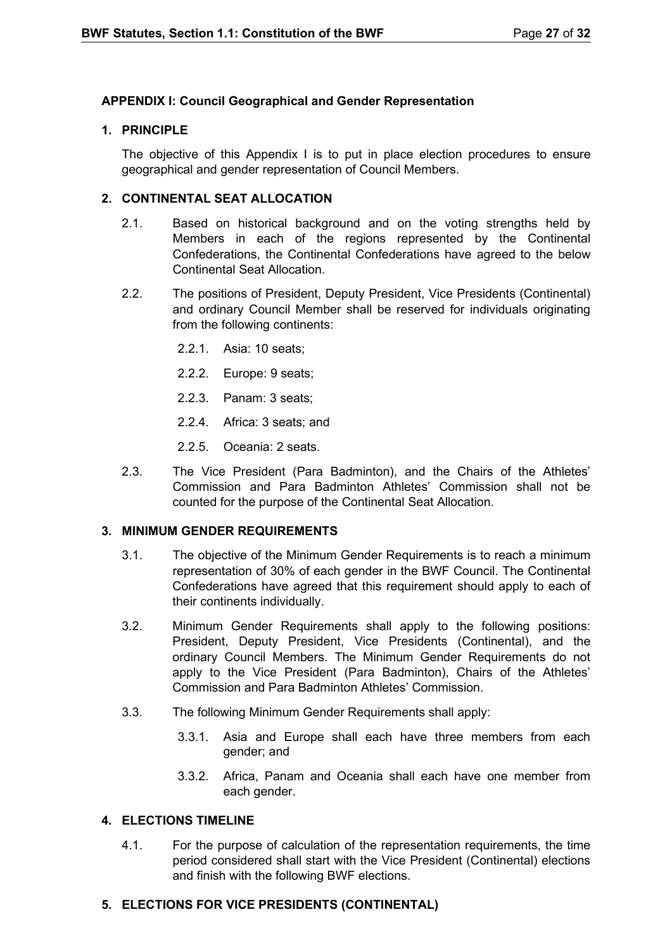## <span id="page-26-0"></span>**APPENDIX I: Council Geographical and Gender Representation**

## **1. PRINCIPLE**

The objective of this Appendix I is to put in place election procedures to ensure geographical and gender representation of Council Members.

## **2. CONTINENTAL SEAT ALLOCATION**

- 2.1. Based on historical background and on the voting strengths held by Members in each of the regions represented by the Continental Confederations, the Continental Confederations have agreed to the below Continental Seat Allocation.
- 2.2. The positions of President, Deputy President, Vice Presidents (Continental) and ordinary Council Member shall be reserved for individuals originating from the following continents:
	- 2.2.1. Asia: 10 seats;
	- 2.2.2. Europe: 9 seats;
	- 2.2.3. Panam: 3 seats;
	- 2.2.4. Africa: 3 seats; and
	- 2.2.5. Oceania: 2 seats.
- 2.3. The Vice President (Para Badminton), and the Chairs of the Athletes' Commission and Para Badminton Athletes' Commission shall not be counted for the purpose of the Continental Seat Allocation.

## **3. MINIMUM GENDER REQUIREMENTS**

- 3.1. The objective of the Minimum Gender Requirements is to reach a minimum representation of 30% of each gender in the BWF Council. The Continental Confederations have agreed that this requirement should apply to each of their continents individually.
- 3.2. Minimum Gender Requirements shall apply to the following positions: President, Deputy President, Vice Presidents (Continental), and the ordinary Council Members. The Minimum Gender Requirements do not apply to the Vice President (Para Badminton), Chairs of the Athletes' Commission and Para Badminton Athletes' Commission.
- 3.3. The following Minimum Gender Requirements shall apply:
	- 3.3.1. Asia and Europe shall each have three members from each gender; and
	- 3.3.2. Africa, Panam and Oceania shall each have one member from each gender.

## **4. ELECTIONS TIMELINE**

4.1. For the purpose of calculation of the representation requirements, the time period considered shall start with the Vice President (Continental) elections and finish with the following BWF elections.

## **5. ELECTIONS FOR VICE PRESIDENTS (CONTINENTAL)**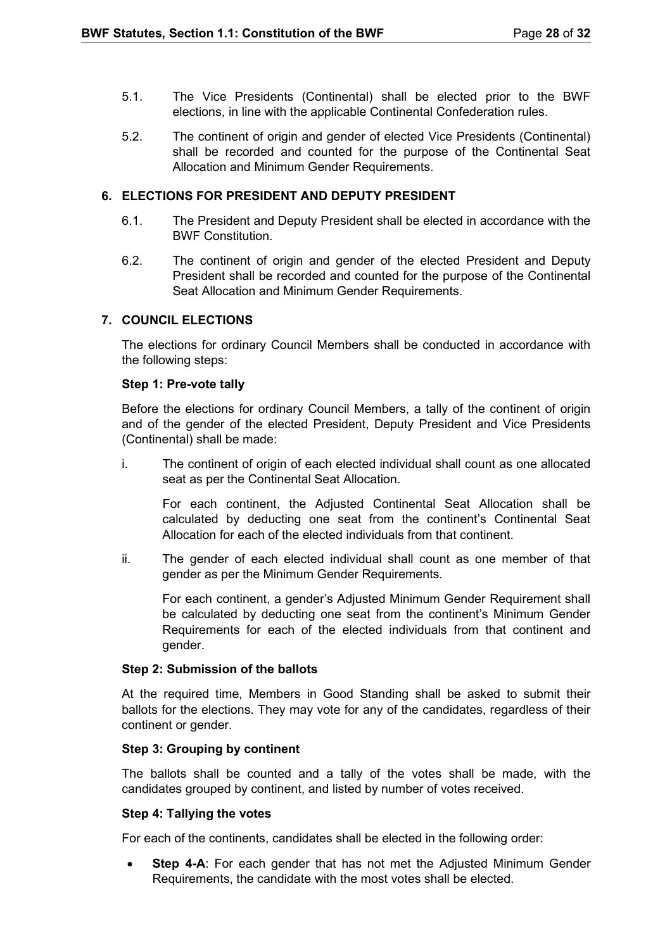- 5.1. The Vice Presidents (Continental) shall be elected prior to the BWF elections, in line with the applicable Continental Confederation rules.
- 5.2. The continent of origin and gender of elected Vice Presidents (Continental) shall be recorded and counted for the purpose of the Continental Seat Allocation and Minimum Gender Requirements.

## **6. ELECTIONS FOR PRESIDENT AND DEPUTY PRESIDENT**

- 6.1. The President and Deputy President shall be elected in accordance with the BWF Constitution.
- 6.2. The continent of origin and gender of the elected President and Deputy President shall be recorded and counted for the purpose of the Continental Seat Allocation and Minimum Gender Requirements.

#### **7. COUNCIL ELECTIONS**

The elections for ordinary Council Members shall be conducted in accordance with the following steps:

#### **Step 1: Pre-vote tally**

Before the elections for ordinary Council Members, a tally of the continent of origin and of the gender of the elected President, Deputy President and Vice Presidents (Continental) shall be made:

i. The continent of origin of each elected individual shall count as one allocated seat as per the Continental Seat Allocation.

For each continent, the Adjusted Continental Seat Allocation shall be calculated by deducting one seat from the continent's Continental Seat Allocation for each of the elected individuals from that continent.

ii. The gender of each elected individual shall count as one member of that gender as per the Minimum Gender Requirements.

For each continent, a gender's Adjusted Minimum Gender Requirement shall be calculated by deducting one seat from the continent's Minimum Gender Requirements for each of the elected individuals from that continent and gender.

#### **Step 2: Submission of the ballots**

At the required time, Members in Good Standing shall be asked to submit their ballots for the elections. They may vote for any of the candidates, regardless of their continent or gender.

#### **Step 3: Grouping by continent**

The ballots shall be counted and a tally of the votes shall be made, with the candidates grouped by continent, and listed by number of votes received.

#### **Step 4: Tallying the votes**

For each of the continents, candidates shall be elected in the following order:

• **Step 4-A**: For each gender that has not met the Adjusted Minimum Gender Requirements, the candidate with the most votes shall be elected.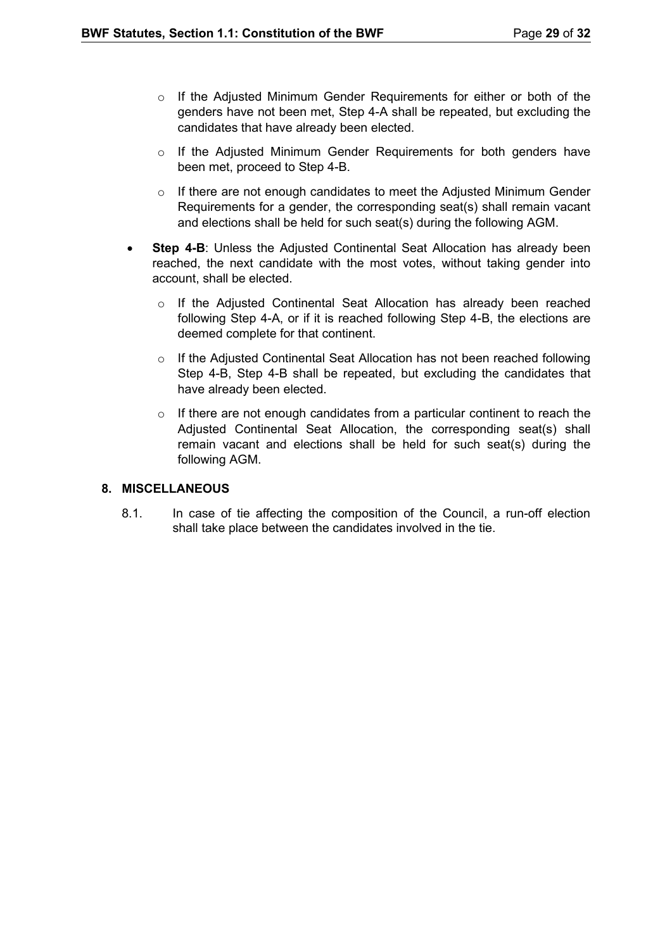- o If the Adjusted Minimum Gender Requirements for either or both of the genders have not been met, Step 4-A shall be repeated, but excluding the candidates that have already been elected.
- o If the Adjusted Minimum Gender Requirements for both genders have been met, proceed to Step 4-B.
- $\circ$  If there are not enough candidates to meet the Adjusted Minimum Gender Requirements for a gender, the corresponding seat(s) shall remain vacant and elections shall be held for such seat(s) during the following AGM.
- **Step 4-B:** Unless the Adjusted Continental Seat Allocation has already been reached, the next candidate with the most votes, without taking gender into account, shall be elected.
	- o If the Adjusted Continental Seat Allocation has already been reached following Step 4-A, or if it is reached following Step 4-B, the elections are deemed complete for that continent.
	- o If the Adjusted Continental Seat Allocation has not been reached following Step 4-B, Step 4-B shall be repeated, but excluding the candidates that have already been elected.
	- $\circ$  If there are not enough candidates from a particular continent to reach the Adjusted Continental Seat Allocation, the corresponding seat(s) shall remain vacant and elections shall be held for such seat(s) during the following AGM.

## **8. MISCELLANEOUS**

8.1. In case of tie affecting the composition of the Council, a run-off election shall take place between the candidates involved in the tie.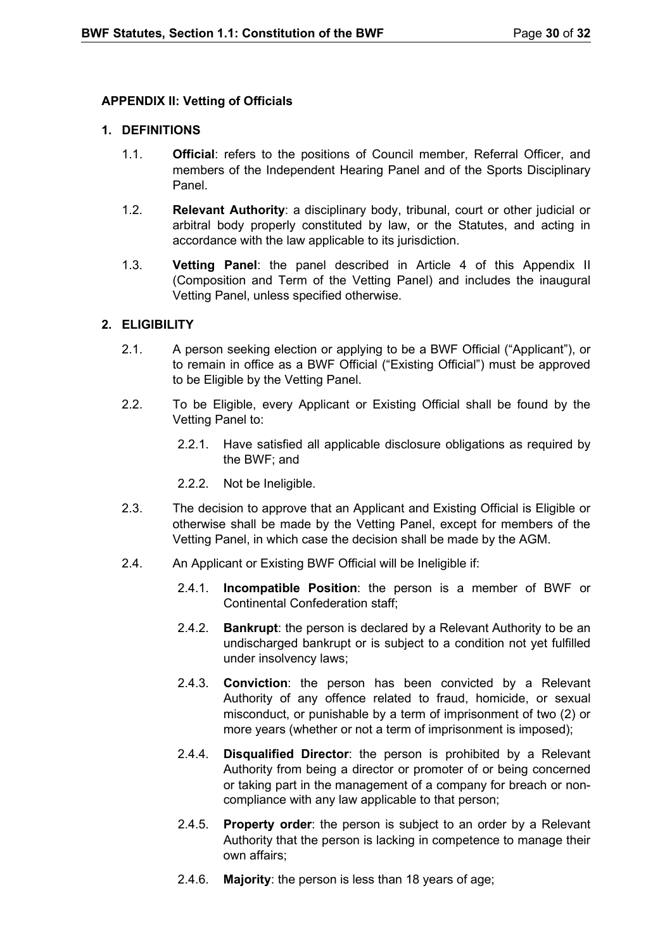## <span id="page-29-0"></span>**APPENDIX II: Vetting of Officials**

## **1. DEFINITIONS**

- 1.1. **Official**: refers to the positions of Council member, Referral Officer, and members of the Independent Hearing Panel and of the Sports Disciplinary Panel.
- 1.2. **Relevant Authority**: a disciplinary body, tribunal, court or other judicial or arbitral body properly constituted by law, or the Statutes, and acting in accordance with the law applicable to its jurisdiction.
- 1.3. **Vetting Panel**: the panel described in Article 4 of this Appendix II (Composition and Term of the Vetting Panel) and includes the inaugural Vetting Panel, unless specified otherwise.

#### **2. ELIGIBILITY**

- 2.1. A person seeking election or applying to be a BWF Official ("Applicant"), or to remain in office as a BWF Official ("Existing Official") must be approved to be Eligible by the Vetting Panel.
- 2.2. To be Eligible, every Applicant or Existing Official shall be found by the Vetting Panel to:
	- 2.2.1. Have satisfied all applicable disclosure obligations as required by the BWF; and
	- 2.2.2. Not be Ineligible.
- 2.3. The decision to approve that an Applicant and Existing Official is Eligible or otherwise shall be made by the Vetting Panel, except for members of the Vetting Panel, in which case the decision shall be made by the AGM.
- 2.4. An Applicant or Existing BWF Official will be Ineligible if:
	- 2.4.1. **Incompatible Position**: the person is a member of BWF or Continental Confederation staff;
	- 2.4.2. **Bankrupt**: the person is declared by a Relevant Authority to be an undischarged bankrupt or is subject to a condition not yet fulfilled under insolvency laws;
	- 2.4.3. **Conviction**: the person has been convicted by a Relevant Authority of any offence related to fraud, homicide, or sexual misconduct, or punishable by a term of imprisonment of two (2) or more years (whether or not a term of imprisonment is imposed);
	- 2.4.4. **Disqualified Director**: the person is prohibited by a Relevant Authority from being a director or promoter of or being concerned or taking part in the management of a company for breach or noncompliance with any law applicable to that person;
	- 2.4.5. **Property order**: the person is subject to an order by a Relevant Authority that the person is lacking in competence to manage their own affairs;
	- 2.4.6. **Majority**: the person is less than 18 years of age;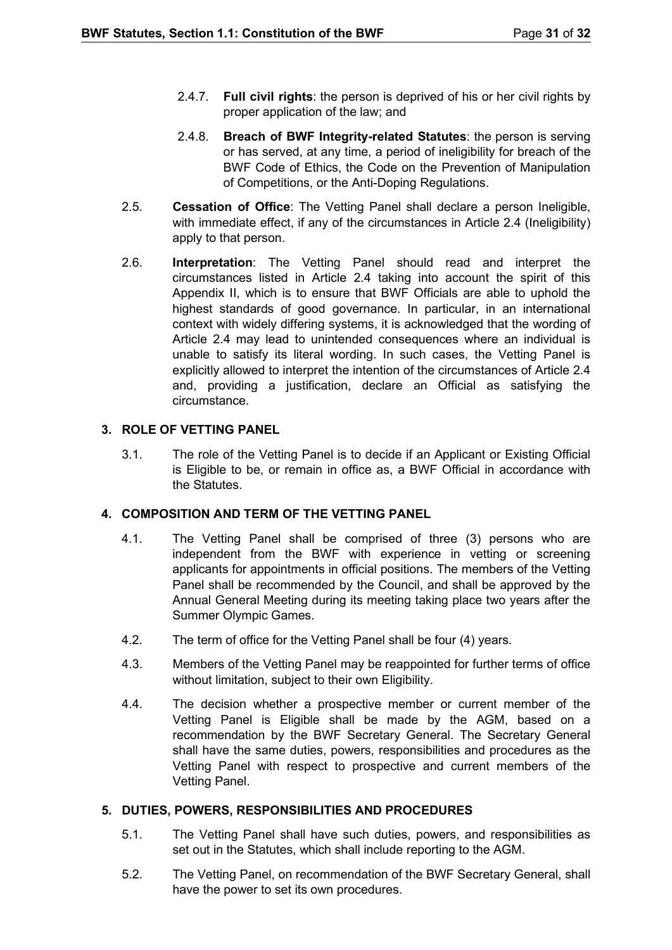- 2.4.7. **Full civil rights**: the person is deprived of his or her civil rights by proper application of the law; and
- 2.4.8. **Breach of BWF Integrity-related Statutes**: the person is serving or has served, at any time, a period of ineligibility for breach of the BWF Code of Ethics, the Code on the Prevention of Manipulation of Competitions, or the Anti-Doping Regulations.
- 2.5. **Cessation of Office**: The Vetting Panel shall declare a person Ineligible, with immediate effect, if any of the circumstances in Article 2.4 (Ineligibility) apply to that person.
- 2.6. **Interpretation**: The Vetting Panel should read and interpret the circumstances listed in Article 2.4 taking into account the spirit of this Appendix II, which is to ensure that BWF Officials are able to uphold the highest standards of good governance. In particular, in an international context with widely differing systems, it is acknowledged that the wording of Article 2.4 may lead to unintended consequences where an individual is unable to satisfy its literal wording. In such cases, the Vetting Panel is explicitly allowed to interpret the intention of the circumstances of Article 2.4 and, providing a justification, declare an Official as satisfying the circumstance.

## **3. ROLE OF VETTING PANEL**

3.1. The role of the Vetting Panel is to decide if an Applicant or Existing Official is Eligible to be, or remain in office as, a BWF Official in accordance with the Statutes.

## **4. COMPOSITION AND TERM OF THE VETTING PANEL**

- 4.1. The Vetting Panel shall be comprised of three (3) persons who are independent from the BWF with experience in vetting or screening applicants for appointments in official positions. The members of the Vetting Panel shall be recommended by the Council, and shall be approved by the Annual General Meeting during its meeting taking place two years after the Summer Olympic Games.
- 4.2. The term of office for the Vetting Panel shall be four (4) years.
- 4.3. Members of the Vetting Panel may be reappointed for further terms of office without limitation, subject to their own Eligibility.
- 4.4. The decision whether a prospective member or current member of the Vetting Panel is Eligible shall be made by the AGM, based on a recommendation by the BWF Secretary General. The Secretary General shall have the same duties, powers, responsibilities and procedures as the Vetting Panel with respect to prospective and current members of the Vetting Panel.

## **5. DUTIES, POWERS, RESPONSIBILITIES AND PROCEDURES**

- 5.1. The Vetting Panel shall have such duties, powers, and responsibilities as set out in the Statutes, which shall include reporting to the AGM.
- 5.2. The Vetting Panel, on recommendation of the BWF Secretary General, shall have the power to set its own procedures.